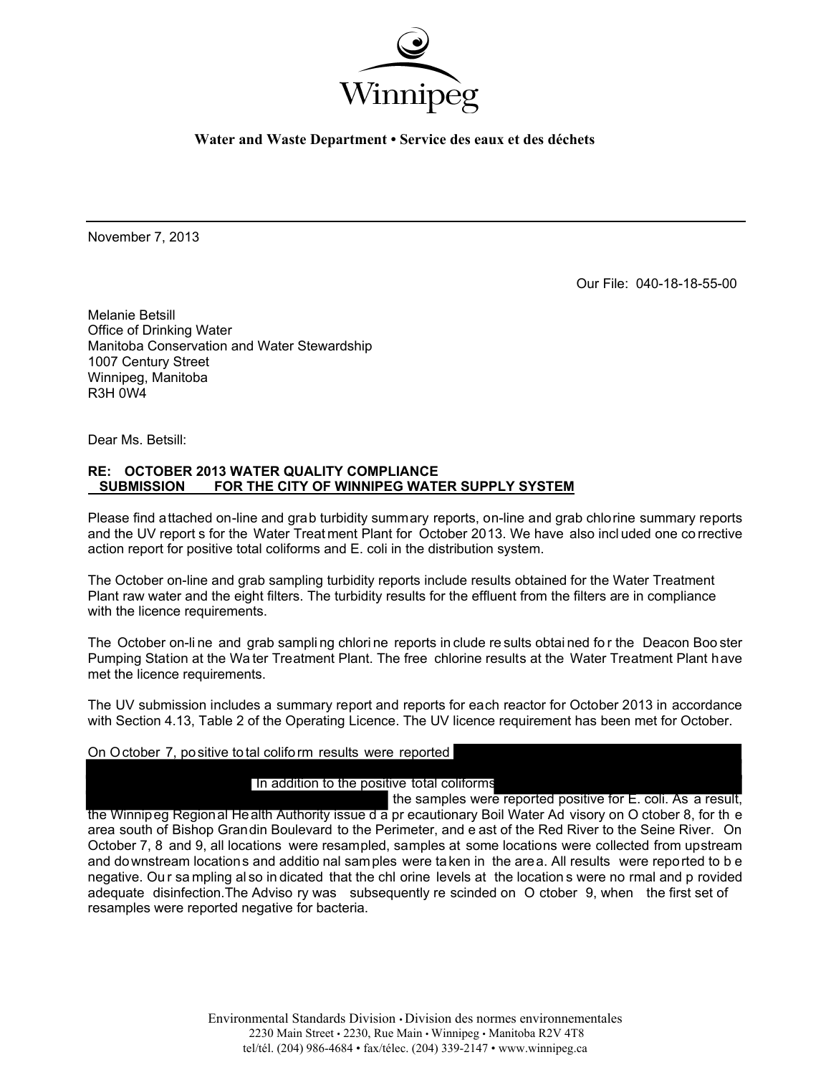

**Water and Waste Department • Service des eaux et des déchets** 

November 7, 2013

Our File: 040-18-18-55-00

Melanie Betsill Office of Drinking Water Manitoba Conservation and Water Stewardship 1007 Century Street Winnipeg, Manitoba R3H 0W4

Dear Ms. Betsill:

## **RE: OCTOBER 2013 WATER QUALITY COMPLIANCE SUBMISSION FOR THE CITY OF WINNIPEG WATER SUPPLY SYSTEM**

Please find attached on-line and grab turbidity summary reports, on-line and grab chlorine summary reports and the UV report s for the Water Treat ment Plant for October 2013. We have also incl uded one co rrective action report for positive total coliforms and E. coli in the distribution system.

The October on-line and grab sampling turbidity reports include results obtained for the Water Treatment Plant raw water and the eight filters. The turbidity results for the effluent from the filters are in compliance with the licence requirements.

The October on-li ne and grab sampli ng chlori ne reports in clude re sults obtai ned fo r the Deacon Boo ster Pumping Station at the Wa ter Treatment Plant. The free chlorine results at the Water Treatment Plant have met the licence requirements.

The UV submission includes a summary report and reports for each reactor for October 2013 in accordance with Section 4.13, Table 2 of the Operating Licence. The UV licence requirement has been met for October.

## On October 7, positive total coliform results were reported

# In addition to the positive total coliforms

the samples were reported positive for E. coli. As a result, the Winnipeg Regional Health Authority issue d a pr ecautionary Boil Water Ad visory on O ctober 8, for th e area south of Bishop Grandin Boulevard to the Perimeter, and e ast of the Red River to the Seine River. On October 7, 8 and 9, all locations were resampled, samples at some locations were collected from upstream and downstream locations and additio nal samples were taken in the area. All results were reported to b e negative. Ou r sa mpling al so in dicated that the chl orine levels at the location s were no rmal and p rovided adequate disinfection.The Adviso ry was subsequently re scinded on O ctober 9, when the first set of resamples were reported negative for bacteria.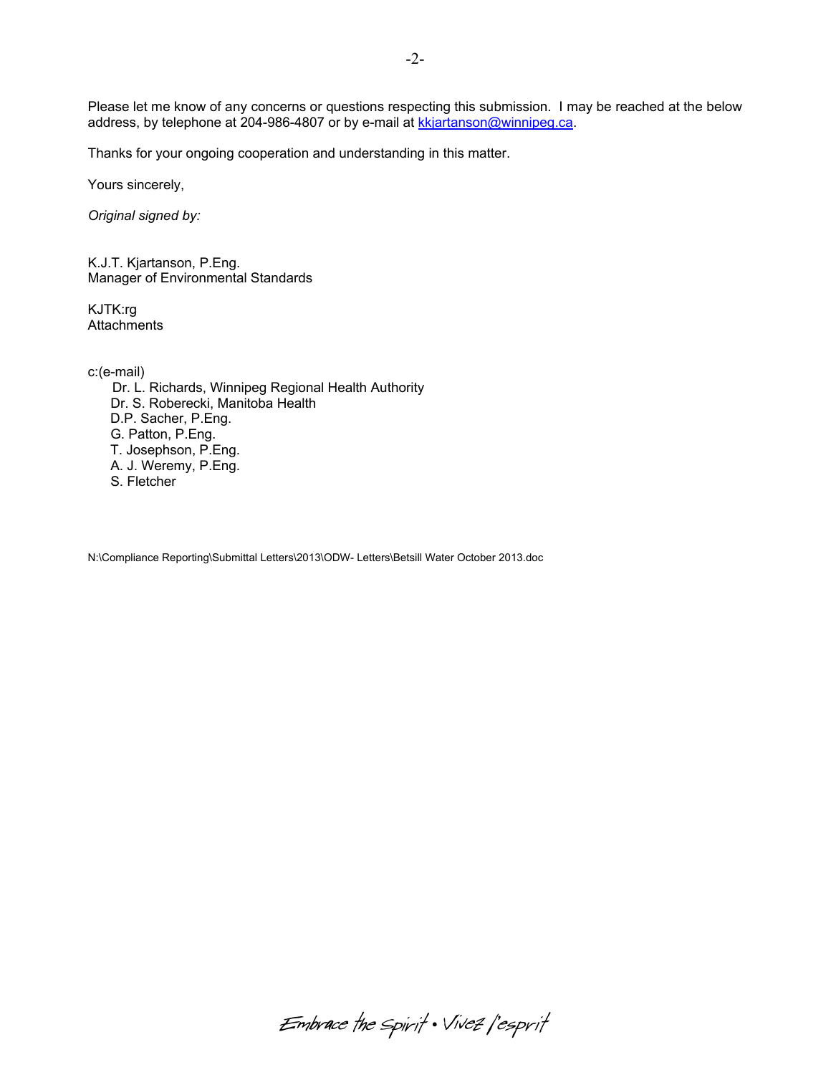Please let me know of any concerns or questions respecting this submission. I may be reached at the below address, by telephone at 204-986-4807 or by e-mail at kkjartanson@winnipeg.ca.

Thanks for your ongoing cooperation and understanding in this matter.

Yours sincerely,

*Original signed by:* 

K.J.T. Kjartanson, P.Eng. Manager of Environmental Standards

KJTK:rg **Attachments** 

c:(e-mail)

 Dr. L. Richards, Winnipeg Regional Health Authority Dr. S. Roberecki, Manitoba Health D.P. Sacher, P.Eng. G. Patton, P.Eng. T. Josephson, P.Eng. A. J. Weremy, P.Eng. S. Fletcher

N:\Compliance Reporting\Submittal Letters\2013\ODW- Letters\Betsill Water October 2013.doc

Embrace the spirit . Vivez l'esprit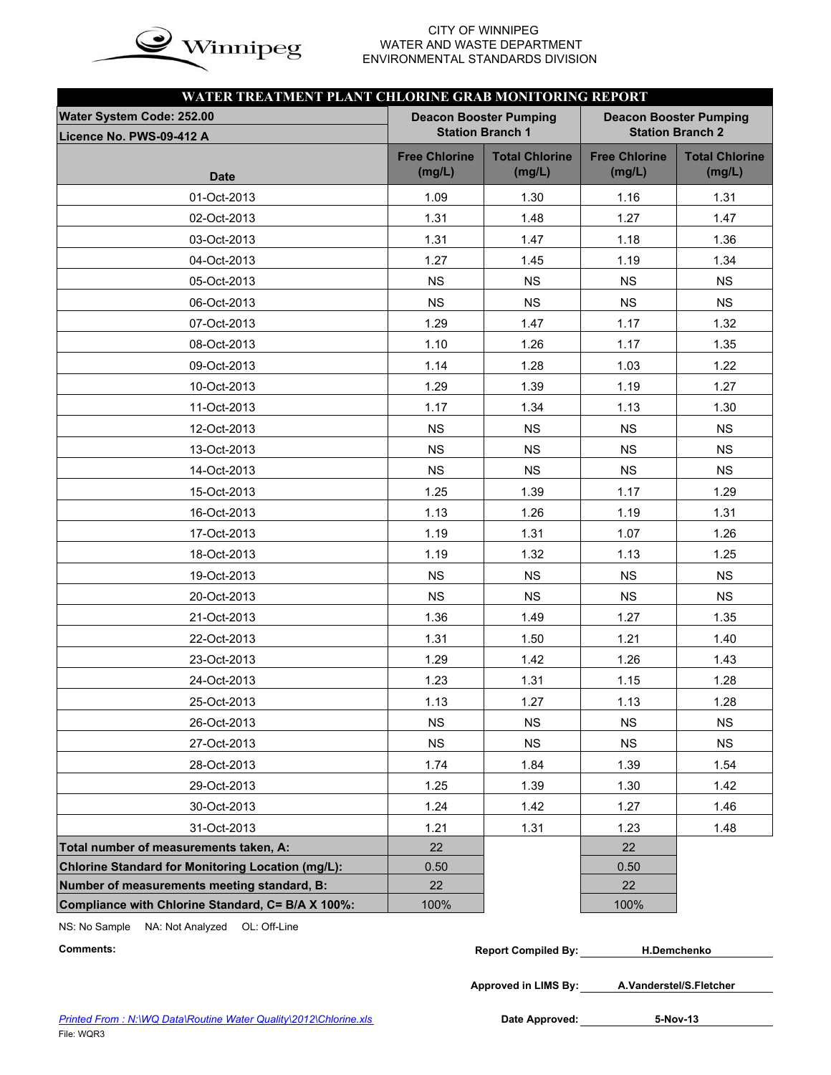

## CITY OF WINNIPEG  $\mathbf{in}$   $\alpha$  WATER AND WASTE DEPARTMENT ENVIRONMENTAL STANDARDS DIVISION

| WATER TREATMENT PLANT CHLORINE GRAB MONITORING REPORT    |                                |                                                          |                                |                                                          |
|----------------------------------------------------------|--------------------------------|----------------------------------------------------------|--------------------------------|----------------------------------------------------------|
| Water System Code: 252.00<br>Licence No. PWS-09-412 A    |                                | <b>Deacon Booster Pumping</b><br><b>Station Branch 1</b> |                                | <b>Deacon Booster Pumping</b><br><b>Station Branch 2</b> |
| <b>Date</b>                                              | <b>Free Chlorine</b><br>(mg/L) | <b>Total Chlorine</b><br>(mg/L)                          | <b>Free Chlorine</b><br>(mg/L) | <b>Total Chlorine</b><br>(mg/L)                          |
| 01-Oct-2013                                              | 1.09                           | 1.30                                                     | 1.16                           | 1.31                                                     |
| 02-Oct-2013                                              | 1.31                           | 1.48                                                     | 1.27                           | 1.47                                                     |
| 03-Oct-2013                                              | 1.31                           | 1.47                                                     | 1.18                           | 1.36                                                     |
| 04-Oct-2013                                              | 1.27                           | 1.45                                                     | 1.19                           | 1.34                                                     |
| 05-Oct-2013                                              | <b>NS</b>                      | <b>NS</b>                                                | <b>NS</b>                      | <b>NS</b>                                                |
| 06-Oct-2013                                              | <b>NS</b>                      | <b>NS</b>                                                | <b>NS</b>                      | <b>NS</b>                                                |
| 07-Oct-2013                                              | 1.29                           | 1.47                                                     | 1.17                           | 1.32                                                     |
| 08-Oct-2013                                              | 1.10                           | 1.26                                                     | 1.17                           | 1.35                                                     |
| 09-Oct-2013                                              | 1.14                           | 1.28                                                     | 1.03                           | 1.22                                                     |
| 10-Oct-2013                                              | 1.29                           | 1.39                                                     | 1.19                           | 1.27                                                     |
| 11-Oct-2013                                              | 1.17                           | 1.34                                                     | 1.13                           | 1.30                                                     |
| 12-Oct-2013                                              | <b>NS</b>                      | <b>NS</b>                                                | <b>NS</b>                      | <b>NS</b>                                                |
| 13-Oct-2013                                              | <b>NS</b>                      | <b>NS</b>                                                | <b>NS</b>                      | <b>NS</b>                                                |
| 14-Oct-2013                                              | <b>NS</b>                      | <b>NS</b>                                                | <b>NS</b>                      | <b>NS</b>                                                |
| 15-Oct-2013                                              | 1.25                           | 1.39                                                     | 1.17                           | 1.29                                                     |
| 16-Oct-2013                                              | 1.13                           | 1.26                                                     | 1.19                           | 1.31                                                     |
| 17-Oct-2013                                              | 1.19                           | 1.31                                                     | 1.07                           | 1.26                                                     |
| 18-Oct-2013                                              | 1.19                           | 1.32                                                     | 1.13                           | 1.25                                                     |
| 19-Oct-2013                                              | <b>NS</b>                      | <b>NS</b>                                                | <b>NS</b>                      | <b>NS</b>                                                |
| 20-Oct-2013                                              | <b>NS</b>                      | <b>NS</b>                                                | <b>NS</b>                      | <b>NS</b>                                                |
| 21-Oct-2013                                              | 1.36                           | 1.49                                                     | 1.27                           | 1.35                                                     |
| 22-Oct-2013                                              | 1.31                           | 1.50                                                     | 1.21                           | 1.40                                                     |
| 23-Oct-2013                                              | 1.29                           | 1.42                                                     | 1.26                           | 1.43                                                     |
| 24-Oct-2013                                              | 1.23                           | 1.31                                                     | 1.15                           | 1.28                                                     |
| 25-Oct-2013                                              | 1.13                           | 1.27                                                     | 1.13                           | 1.28                                                     |
| 26-Oct-2013                                              | <b>NS</b>                      | <b>NS</b>                                                | <b>NS</b>                      | <b>NS</b>                                                |
| 27-Oct-2013                                              | <b>NS</b>                      | <b>NS</b>                                                | <b>NS</b>                      | <b>NS</b>                                                |
| 28-Oct-2013                                              | 1.74                           | 1.84                                                     | 1.39                           | 1.54                                                     |
| 29-Oct-2013                                              | 1.25                           | 1.39                                                     | 1.30                           | 1.42                                                     |
| 30-Oct-2013                                              | 1.24                           | 1.42                                                     | 1.27                           | 1.46                                                     |
| 31-Oct-2013                                              | 1.21                           | 1.31                                                     | 1.23                           | 1.48                                                     |
| Total number of measurements taken, A:                   | 22                             |                                                          | 22                             |                                                          |
| <b>Chlorine Standard for Monitoring Location (mg/L):</b> | 0.50                           |                                                          | 0.50                           |                                                          |
| Number of measurements meeting standard, B:              | 22                             |                                                          | 22                             |                                                          |
| Compliance with Chlorine Standard, C= B/A X 100%:        | 100%                           |                                                          | 100%                           |                                                          |

NS: No Sample NA: Not Analyzed OL: Off-Line

| Comments: | <b>Report Compiled By:</b> | H.Demchenko |
|-----------|----------------------------|-------------|
|-----------|----------------------------|-------------|

**Approved in LIMS By: A.Vanderstel/S.Fletcher**

Date Approved: 5-Nov-13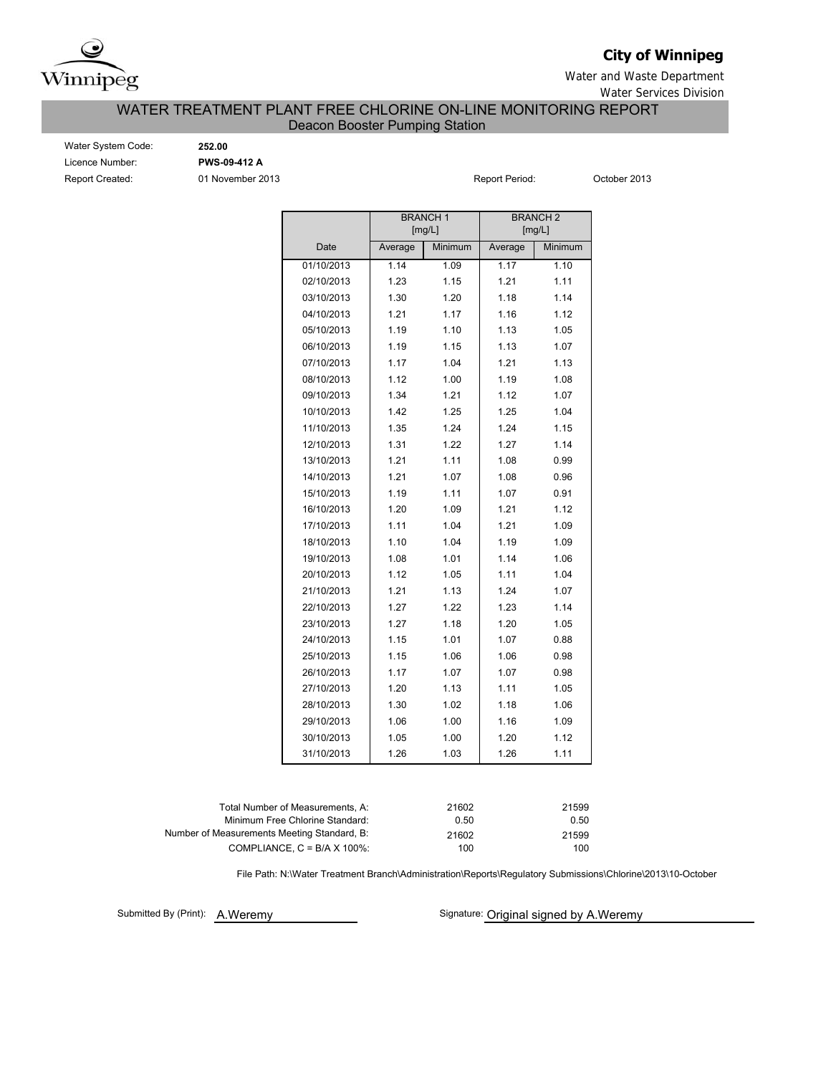

# **City of Winnipeg**

Water and Waste Department Water Services Division

## WATER TREATMENT PLANT FREE CHLORINE ON-LINE MONITORING REPORT Deacon Booster Pumping Station

Water System Code: **252.00** Licence Number: **PWS-09-412 A** Report Created: **01 November 2013 Report Period:** October 2013

|            |         | <b>BRANCH1</b><br>[mg/L] |         | <b>BRANCH 2</b><br>[mg/L] |
|------------|---------|--------------------------|---------|---------------------------|
| Date       | Average | Minimum                  | Average | Minimum                   |
| 01/10/2013 | 1.14    | 1.09                     | 1.17    | 1.10                      |
| 02/10/2013 | 1.23    | 1.15                     | 1.21    | 1.11                      |
| 03/10/2013 | 1.30    | 1.20                     | 1.18    | 1.14                      |
| 04/10/2013 | 1.21    | 1.17                     | 1.16    | 1.12                      |
| 05/10/2013 | 1.19    | 1.10                     | 1.13    | 1.05                      |
| 06/10/2013 | 1.19    | 1.15                     | 1.13    | 1.07                      |
| 07/10/2013 | 1.17    | 1.04                     | 1.21    | 1.13                      |
| 08/10/2013 | 1.12    | 1.00                     | 1.19    | 1.08                      |
| 09/10/2013 | 1.34    | 1.21                     | 1.12    | 1.07                      |
| 10/10/2013 | 1.42    | 1.25                     | 1.25    | 1.04                      |
| 11/10/2013 | 1.35    | 1.24                     | 1.24    | 1.15                      |
| 12/10/2013 | 1.31    | 1.22                     | 1.27    | 1.14                      |
| 13/10/2013 | 1.21    | 1.11                     | 1.08    | 0.99                      |
| 14/10/2013 | 1.21    | 1.07                     | 1.08    | 0.96                      |
| 15/10/2013 | 1.19    | 1.11                     | 1.07    | 0.91                      |
| 16/10/2013 | 1.20    | 1.09                     | 1.21    | 1.12                      |
| 17/10/2013 | 1.11    | 1.04                     | 1.21    | 1.09                      |
| 18/10/2013 | 1.10    | 1.04                     | 1.19    | 1.09                      |
| 19/10/2013 | 1.08    | 1.01                     | 1.14    | 1.06                      |
| 20/10/2013 | 1.12    | 1.05                     | 1.11    | 1.04                      |
| 21/10/2013 | 1.21    | 1.13                     | 1.24    | 1.07                      |
| 22/10/2013 | 1.27    | 1.22                     | 1.23    | 1.14                      |
| 23/10/2013 | 1.27    | 1.18                     | 1.20    | 1.05                      |
| 24/10/2013 | 1.15    | 1.01                     | 1.07    | 0.88                      |
| 25/10/2013 | 1.15    | 1.06                     | 1.06    | 0.98                      |
| 26/10/2013 | 1.17    | 1.07                     | 1.07    | 0.98                      |
| 27/10/2013 | 1.20    | 1.13                     | 1.11    | 1.05                      |
| 28/10/2013 | 1.30    | 1.02                     | 1.18    | 1.06                      |
| 29/10/2013 | 1.06    | 1.00                     | 1.16    | 1.09                      |
| 30/10/2013 | 1.05    | 1.00                     | 1.20    | 1.12                      |
| 31/10/2013 | 1.26    | 1.03                     | 1.26    | 1.11                      |
|            |         |                          |         |                           |

| Total Number of Measurements, A:            | 21602 | 21599 |
|---------------------------------------------|-------|-------|
| Minimum Free Chlorine Standard:             | 0.50  | 0.50  |
| Number of Measurements Meeting Standard, B: | 21602 | 21599 |
| COMPLIANCE, $C = B/A \times 100\%$          | 100   | 100   |
|                                             |       |       |

File Path: N:\Water Treatment Branch\Administration\Reports\Regulatory Submissions\Chlorine\2013\10-October

Submitted By (Print): A. Weremy

Signature: Original signed by A.Weremy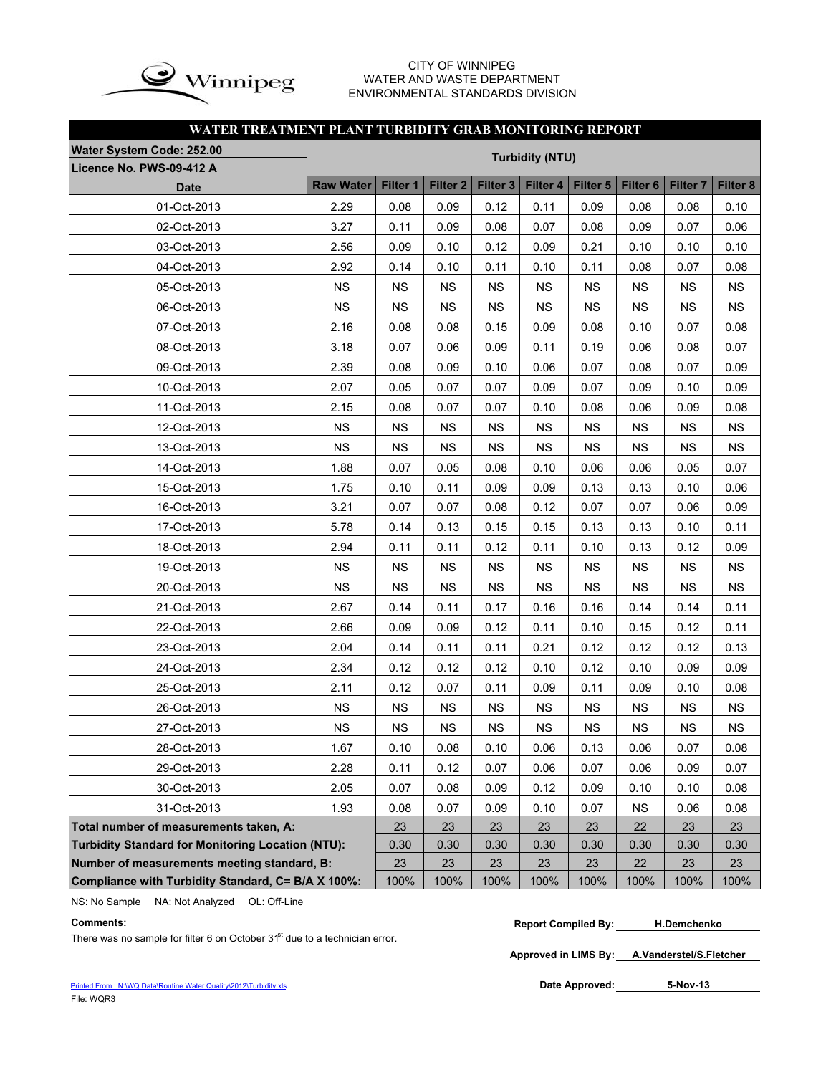

## CITY OF WINNIPEG WATER AND WASTE DEPARTMENT ENVIRONMENTAL STANDARDS DIVISION

# **WATER TREATMENT PLANT TURBIDITY GRAB MONITORING REPORT**

| <b>Water System Code: 252.00</b>                         |                  |           |                     |           | <b>Turbidity (NTU)</b> |           |           |           |           |
|----------------------------------------------------------|------------------|-----------|---------------------|-----------|------------------------|-----------|-----------|-----------|-----------|
| Licence No. PWS-09-412 A                                 |                  |           |                     |           |                        |           |           |           |           |
| <b>Date</b>                                              | <b>Raw Water</b> | Filter 1  | Filter <sub>2</sub> | Filter 3  | Filter 4               | Filter 5  | Filter 6  | Filter 7  | Filter 8  |
| 01-Oct-2013                                              | 2.29             | 0.08      | 0.09                | 0.12      | 0.11                   | 0.09      | 0.08      | 0.08      | 0.10      |
| 02-Oct-2013                                              | 3.27             | 0.11      | 0.09                | 0.08      | 0.07                   | 0.08      | 0.09      | 0.07      | 0.06      |
| 03-Oct-2013                                              | 2.56             | 0.09      | 0.10                | 0.12      | 0.09                   | 0.21      | 0.10      | 0.10      | 0.10      |
| 04-Oct-2013                                              | 2.92             | 0.14      | 0.10                | 0.11      | 0.10                   | 0.11      | 0.08      | 0.07      | 0.08      |
| 05-Oct-2013                                              | <b>NS</b>        | <b>NS</b> | <b>NS</b>           | <b>NS</b> | <b>NS</b>              | <b>NS</b> | <b>NS</b> | <b>NS</b> | <b>NS</b> |
| 06-Oct-2013                                              | <b>NS</b>        | <b>NS</b> | <b>NS</b>           | <b>NS</b> | <b>NS</b>              | <b>NS</b> | <b>NS</b> | <b>NS</b> | <b>NS</b> |
| 07-Oct-2013                                              | 2.16             | 0.08      | 0.08                | 0.15      | 0.09                   | 0.08      | 0.10      | 0.07      | 0.08      |
| 08-Oct-2013                                              | 3.18             | 0.07      | 0.06                | 0.09      | 0.11                   | 0.19      | 0.06      | 0.08      | 0.07      |
| 09-Oct-2013                                              | 2.39             | 0.08      | 0.09                | 0.10      | 0.06                   | 0.07      | 0.08      | 0.07      | 0.09      |
| 10-Oct-2013                                              | 2.07             | 0.05      | 0.07                | 0.07      | 0.09                   | 0.07      | 0.09      | 0.10      | 0.09      |
| 11-Oct-2013                                              | 2.15             | 0.08      | 0.07                | 0.07      | 0.10                   | 0.08      | 0.06      | 0.09      | 0.08      |
| 12-Oct-2013                                              | <b>NS</b>        | <b>NS</b> | <b>NS</b>           | <b>NS</b> | <b>NS</b>              | <b>NS</b> | <b>NS</b> | <b>NS</b> | <b>NS</b> |
| 13-Oct-2013                                              | <b>NS</b>        | <b>NS</b> | <b>NS</b>           | <b>NS</b> | <b>NS</b>              | <b>NS</b> | <b>NS</b> | <b>NS</b> | <b>NS</b> |
| 14-Oct-2013                                              | 1.88             | 0.07      | 0.05                | 0.08      | 0.10                   | 0.06      | 0.06      | 0.05      | 0.07      |
| 15-Oct-2013                                              | 1.75             | 0.10      | 0.11                | 0.09      | 0.09                   | 0.13      | 0.13      | 0.10      | 0.06      |
| 16-Oct-2013                                              | 3.21             | 0.07      | 0.07                | 0.08      | 0.12                   | 0.07      | 0.07      | 0.06      | 0.09      |
| 17-Oct-2013                                              | 5.78             | 0.14      | 0.13                | 0.15      | 0.15                   | 0.13      | 0.13      | 0.10      | 0.11      |
| 18-Oct-2013                                              | 2.94             | 0.11      | 0.11                | 0.12      | 0.11                   | 0.10      | 0.13      | 0.12      | 0.09      |
| 19-Oct-2013                                              | <b>NS</b>        | <b>NS</b> | <b>NS</b>           | <b>NS</b> | <b>NS</b>              | <b>NS</b> | <b>NS</b> | <b>NS</b> | <b>NS</b> |
| 20-Oct-2013                                              | <b>NS</b>        | <b>NS</b> | <b>NS</b>           | <b>NS</b> | <b>NS</b>              | <b>NS</b> | <b>NS</b> | <b>NS</b> | <b>NS</b> |
| 21-Oct-2013                                              | 2.67             | 0.14      | 0.11                | 0.17      | 0.16                   | 0.16      | 0.14      | 0.14      | 0.11      |
| 22-Oct-2013                                              | 2.66             | 0.09      | 0.09                | 0.12      | 0.11                   | 0.10      | 0.15      | 0.12      | 0.11      |
| 23-Oct-2013                                              | 2.04             | 0.14      | 0.11                | 0.11      | 0.21                   | 0.12      | 0.12      | 0.12      | 0.13      |
| 24-Oct-2013                                              | 2.34             | 0.12      | 0.12                | 0.12      | 0.10                   | 0.12      | 0.10      | 0.09      | 0.09      |
| 25-Oct-2013                                              | 2.11             | 0.12      | 0.07                | 0.11      | 0.09                   | 0.11      | 0.09      | 0.10      | 0.08      |
| 26-Oct-2013                                              | <b>NS</b>        | <b>NS</b> | <b>NS</b>           | <b>NS</b> | <b>NS</b>              | <b>NS</b> | <b>NS</b> | <b>NS</b> | <b>NS</b> |
| 27-Oct-2013                                              | <b>NS</b>        | <b>NS</b> | NS                  | <b>NS</b> | <b>NS</b>              | <b>NS</b> | <b>NS</b> | <b>NS</b> | <b>NS</b> |
| 28-Oct-2013                                              | 1.67             | 0.10      | 0.08                | 0.10      | 0.06                   | 0.13      | 0.06      | 0.07      | 0.08      |
| 29-Oct-2013                                              | 2.28             | 0.11      | 0.12                | 0.07      | 0.06                   | 0.07      | 0.06      | 0.09      | 0.07      |
| 30-Oct-2013                                              | 2.05             | 0.07      | 0.08                | 0.09      | 0.12                   | 0.09      | 0.10      | 0.10      | 0.08      |
| 31-Oct-2013                                              | 1.93             | 0.08      | 0.07                | 0.09      | 0.10                   | 0.07      | <b>NS</b> | 0.06      | 0.08      |
| Total number of measurements taken, A:                   |                  | 23        | 23                  | 23        | 23                     | 23        | 22        | 23        | 23        |
| <b>Turbidity Standard for Monitoring Location (NTU):</b> |                  | 0.30      | 0.30                | 0.30      | 0.30                   | 0.30      | 0.30      | 0.30      | 0.30      |
| Number of measurements meeting standard, B:              |                  | 23        | 23                  | 23        | 23                     | 23        | 22        | 23        | 23        |
| Compliance with Turbidity Standard, C= B/A X 100%:       |                  | 100%      | 100%                | 100%      | 100%                   | 100%      | 100%      | 100%      | 100%      |

NS: No Sample NA: Not Analyzed OL: Off-Line

There was no sample for filter 6 on October  $31<sup>st</sup>$  due to a technician error.

**Approved in LIMS By: A.Vanderstel/S.Fletcher**

Date Approved: 5-Nov-13

**Comments: Report Compiled By: H.Demchenko**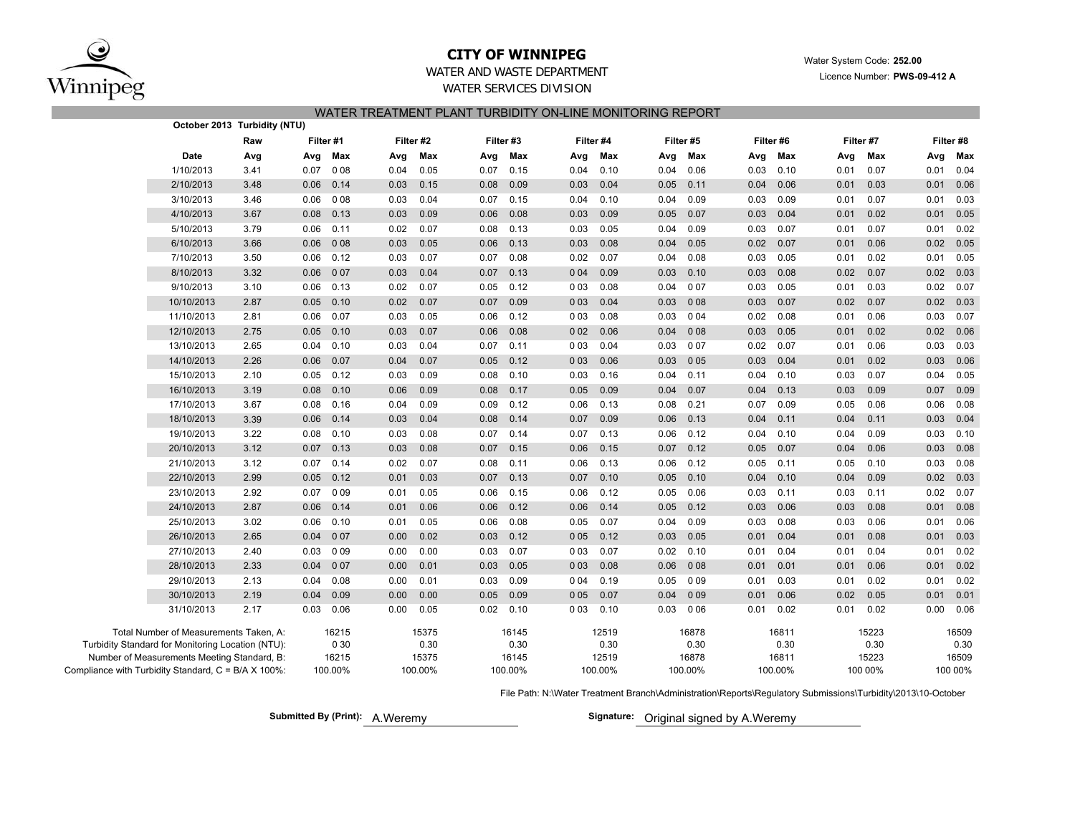

# **CITY OF WINNIPEG**

Water System Code: **252.00**

Licence Number: **PWS-09-412 A**

## WATER AND WASTE DEPARTMENTWATER SERVICES DIVISION

| WATER TREATMENT PLANT TURBIDITY ON-LINE MONITORING REPORT |  |  |
|-----------------------------------------------------------|--|--|
|                                                           |  |  |
|                                                           |  |  |
|                                                           |  |  |

|                                                     |                                             | October 2013 Turbidity (NTU) |           |             |      |           |      |           |       |           |      |           |      |           |      |           |      |           |
|-----------------------------------------------------|---------------------------------------------|------------------------------|-----------|-------------|------|-----------|------|-----------|-------|-----------|------|-----------|------|-----------|------|-----------|------|-----------|
|                                                     |                                             | Raw                          | Filter #1 |             |      | Filter #2 |      | Filter #3 |       | Filter #4 |      | Filter #5 |      | Filter #6 |      | Filter #7 |      | Filter #8 |
|                                                     | Date                                        | Avg                          | Avg       | Max         | Avg  | Max       | Avg  | Max       | Avg   | Max       | Avg  | Max       | Avg  | Max       | Avg  | Max       | Avg  | Max       |
|                                                     | 1/10/2013                                   | 3.41                         | 0.07      | 008         | 0.04 | 0.05      | 0.07 | 0.15      | 0.04  | 0.10      | 0.04 | 0.06      | 0.03 | 0.10      | 0.01 | 0.07      | 0.01 | 0.04      |
|                                                     | 2/10/2013                                   | 3.48                         |           | $0.06$ 0.14 | 0.03 | 0.15      | 0.08 | 0.09      | 0.03  | 0.04      | 0.05 | 0.11      | 0.04 | 0.06      | 0.01 | 0.03      | 0.01 | 0.06      |
|                                                     | 3/10/2013                                   | 3.46                         | 0.06      | 008         | 0.03 | 0.04      | 0.07 | 0.15      | 0.04  | 0.10      | 0.04 | 0.09      | 0.03 | 0.09      | 0.01 | 0.07      | 0.01 | 0.03      |
|                                                     | 4/10/2013                                   | 3.67                         |           | $0.08$ 0.13 | 0.03 | 0.09      | 0.06 | 0.08      | 0.03  | 0.09      | 0.05 | 0.07      | 0.03 | 0.04      | 0.01 | 0.02      | 0.01 | 0.05      |
|                                                     | 5/10/2013                                   | 3.79                         | 0.06      | 0.11        | 0.02 | 0.07      | 0.08 | 0.13      | 0.03  | 0.05      | 0.04 | 0.09      | 0.03 | 0.07      | 0.01 | 0.07      | 0.01 | 0.02      |
|                                                     | 6/10/2013                                   | 3.66                         | 0.06      | 008         | 0.03 | 0.05      | 0.06 | 0.13      | 0.03  | 0.08      | 0.04 | 0.05      | 0.02 | 0.07      | 0.01 | 0.06      | 0.02 | 0.05      |
|                                                     | 7/10/2013                                   | 3.50                         | 0.06      | 0.12        | 0.03 | 0.07      | 0.07 | 0.08      | 0.02  | 0.07      | 0.04 | 0.08      | 0.03 | 0.05      | 0.01 | 0.02      | 0.01 | 0.05      |
|                                                     | 8/10/2013                                   | 3.32                         | 0.06      | 007         | 0.03 | 0.04      | 0.07 | 0.13      | 004   | 0.09      | 0.03 | 0.10      | 0.03 | 0.08      | 0.02 | 0.07      | 0.02 | 0.03      |
|                                                     | 9/10/2013                                   | 3.10                         | 0.06      | 0.13        | 0.02 | 0.07      | 0.05 | 0.12      | 003   | 0.08      | 0.04 | 007       | 0.03 | 0.05      | 0.01 | 0.03      | 0.02 | 0.07      |
|                                                     | 10/10/2013                                  | 2.87                         | 0.05      | 0.10        | 0.02 | 0.07      | 0.07 | 0.09      | 003   | 0.04      | 0.03 | 008       | 0.03 | 0.07      | 0.02 | 0.07      | 0.02 | 0.03      |
|                                                     | 11/10/2013                                  | 2.81                         | 0.06      | 0.07        | 0.03 | 0.05      | 0.06 | 0.12      | 003   | 0.08      | 0.03 | 0 0 4     | 0.02 | 0.08      | 0.01 | 0.06      | 0.03 | 0.07      |
|                                                     | 12/10/2013                                  | 2.75                         | 0.05      | 0.10        | 0.03 | 0.07      | 0.06 | 0.08      | 002   | 0.06      | 0.04 | 008       | 0.03 | 0.05      | 0.01 | 0.02      | 0.02 | 0.06      |
|                                                     | 13/10/2013                                  | 2.65                         | 0.04      | 0.10        | 0.03 | 0.04      | 0.07 | 0.11      | 003   | 0.04      | 0.03 | 007       | 0.02 | 0.07      | 0.01 | 0.06      | 0.03 | 0.03      |
|                                                     | 14/10/2013                                  | 2.26                         | 0.06      | 0.07        | 0.04 | 0.07      | 0.05 | 0.12      | 003   | 0.06      | 0.03 | 005       | 0.03 | 0.04      | 0.01 | 0.02      | 0.03 | 0.06      |
|                                                     | 15/10/2013                                  | 2.10                         | 0.05      | 0.12        | 0.03 | 0.09      | 0.08 | 0.10      | 0.03  | 0.16      | 0.04 | 0.11      | 0.04 | 0.10      | 0.03 | 0.07      | 0.04 | 0.05      |
|                                                     | 16/10/2013                                  | 3.19                         | 0.08      | 0.10        | 0.06 | 0.09      | 0.08 | 0.17      | 0.05  | 0.09      | 0.04 | 0.07      | 0.04 | 0.13      | 0.03 | 0.09      | 0.07 | 0.09      |
|                                                     | 17/10/2013                                  | 3.67                         | 0.08      | 0.16        | 0.04 | 0.09      | 0.09 | 0.12      | 0.06  | 0.13      | 0.08 | 0.21      | 0.07 | 0.09      | 0.05 | 0.06      | 0.06 | 0.08      |
|                                                     | 18/10/2013                                  | 3.39                         | 0.06      | 0.14        | 0.03 | 0.04      | 0.08 | 0.14      | 0.07  | 0.09      | 0.06 | 0.13      | 0.04 | 0.11      | 0.04 | 0.11      | 0.03 | 0.04      |
|                                                     | 19/10/2013                                  | 3.22                         | 0.08      | 0.10        | 0.03 | 0.08      | 0.07 | 0.14      | 0.07  | 0.13      | 0.06 | 0.12      | 0.04 | 0.10      | 0.04 | 0.09      | 0.03 | 0.10      |
|                                                     | 20/10/2013                                  | 3.12                         | 0.07      | 0.13        | 0.03 | 0.08      | 0.07 | 0.15      | 0.06  | 0.15      | 0.07 | 0.12      | 0.05 | 0.07      | 0.04 | 0.06      | 0.03 | 0.08      |
|                                                     | 21/10/2013                                  | 3.12                         | 0.07      | 0.14        | 0.02 | 0.07      | 0.08 | 0.11      | 0.06  | 0.13      | 0.06 | 0.12      | 0.05 | 0.11      | 0.05 | 0.10      | 0.03 | 0.08      |
|                                                     | 22/10/2013                                  | 2.99                         | 0.05      | 0.12        | 0.01 | 0.03      | 0.07 | 0.13      | 0.07  | 0.10      | 0.05 | 0.10      | 0.04 | 0.10      | 0.04 | 0.09      | 0.02 | 0.03      |
|                                                     | 23/10/2013                                  | 2.92                         | 0.07      | 0 0 9       | 0.01 | 0.05      | 0.06 | 0.15      | 0.06  | 0.12      | 0.05 | 0.06      | 0.03 | 0.11      | 0.03 | 0.11      | 0.02 | 0.07      |
|                                                     | 24/10/2013                                  | 2.87                         | 0.06      | 0.14        | 0.01 | 0.06      | 0.06 | 0.12      | 0.06  | 0.14      | 0.05 | 0.12      | 0.03 | 0.06      | 0.03 | 0.08      | 0.01 | 0.08      |
|                                                     | 25/10/2013                                  | 3.02                         | 0.06      | 0.10        | 0.01 | 0.05      | 0.06 | 0.08      | 0.05  | 0.07      | 0.04 | 0.09      | 0.03 | 0.08      | 0.03 | 0.06      | 0.01 | 0.06      |
|                                                     | 26/10/2013                                  | 2.65                         | 0.04      | 007         | 0.00 | 0.02      | 0.03 | 0.12      | 005   | 0.12      | 0.03 | 0.05      | 0.01 | 0.04      | 0.01 | 0.08      | 0.01 | 0.03      |
|                                                     | 27/10/2013                                  | 2.40                         | 0.03      | 009         | 0.00 | 0.00      | 0.03 | 0.07      | 003   | 0.07      | 0.02 | 0.10      | 0.01 | 0.04      | 0.01 | 0.04      | 0.01 | 0.02      |
|                                                     | 28/10/2013                                  | 2.33                         | 0.04      | 007         | 0.00 | 0.01      | 0.03 | 0.05      | 003   | 0.08      | 0.06 | 008       | 0.01 | 0.01      | 0.01 | 0.06      | 0.01 | 0.02      |
|                                                     | 29/10/2013                                  | 2.13                         | 0.04      | 0.08        | 0.00 | 0.01      | 0.03 | 0.09      | 004   | 0.19      | 0.05 | 009       | 0.01 | 0.03      | 0.01 | 0.02      | 0.01 | 0.02      |
|                                                     | 30/10/2013                                  | 2.19                         | 0.04      | 0.09        | 0.00 | 0.00      | 0.05 | 0.09      | 0 0 5 | 0.07      | 0.04 | 009       | 0.01 | 0.06      | 0.02 | 0.05      | 0.01 | 0.01      |
|                                                     | 31/10/2013                                  | 2.17                         | 0.03      | 0.06        | 0.00 | 0.05      | 0.02 | 0.10      | 003   | 0.10      | 0.03 | 006       | 0.01 | 0.02      | 0.01 | 0.02      | 0.00 | 0.06      |
|                                                     | Total Number of Measurements Taken, A:      |                              |           | 16215       |      | 15375     |      | 16145     |       | 12519     |      | 16878     |      | 16811     |      | 15223     |      | 16509     |
| Turbidity Standard for Monitoring Location (NTU):   |                                             |                              |           | 0 30        |      | 0.30      |      | 0.30      |       | 0.30      |      | 0.30      |      | 0.30      |      | 0.30      |      | 0.30      |
|                                                     | Number of Measurements Meeting Standard, B: |                              |           | 16215       |      | 15375     |      | 16145     |       | 12519     |      | 16878     |      | 16811     |      | 15223     |      | 16509     |
| Compliance with Turbidity Standard, C = B/A X 100%: |                                             |                              |           | 100.00%     |      | 100.00%   |      | 100.00%   |       | 100.00%   |      | 100.00%   |      | 100.00%   |      | 100 00%   |      | 100 00%   |

File Path: N:\Water Treatment Branch\Administration\Reports\Regulatory Submissions\Turbidity\2013\10-October

**Submitted By (Print):** A. Weremy

Signature: Original signed by A.Weremy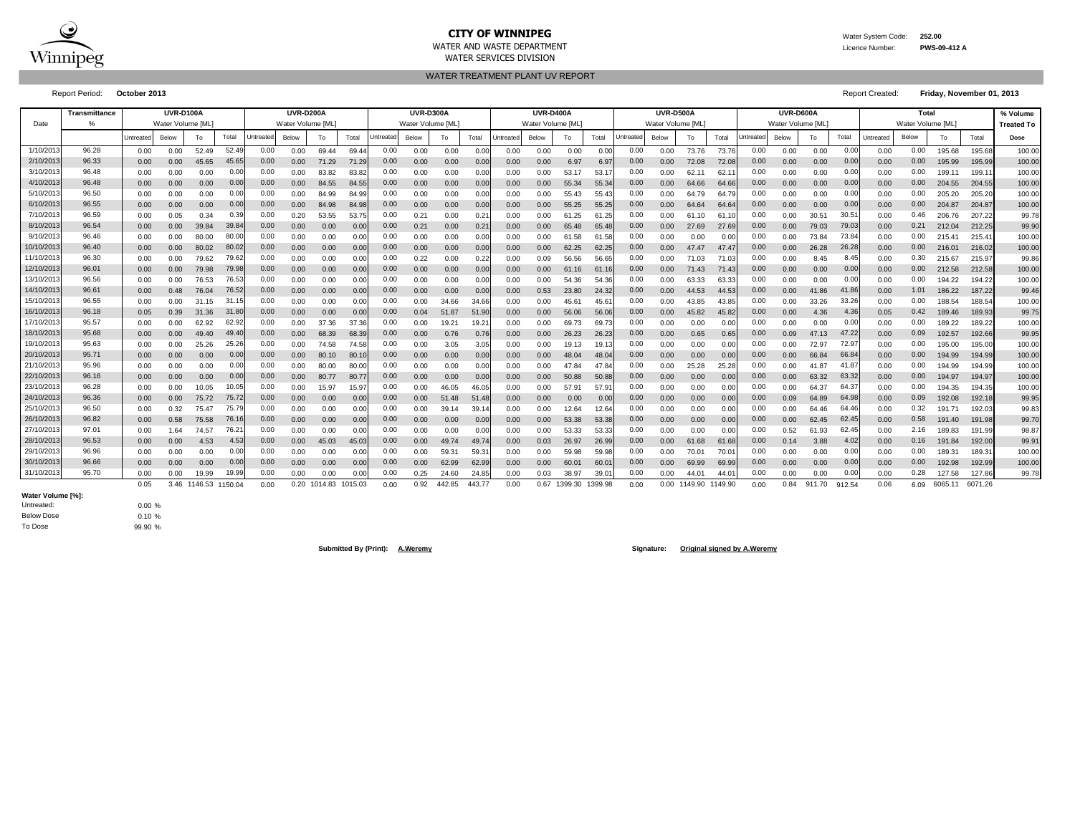

# **CITY OF WINNIPEG** WATER MANUSCRIPT WATER System Code: 252.00

WATER AND WASTE DEPARTMENT Licence Number: **PWS-09-412 A**

WATER SERVICES DIVISION

WATER TREATMENT PLANT UV REPORT

Report Period: **October 2013** Report Created: **Friday, November 01, 2013**

|            | <b>Transmittance</b> |           | <b>UVR-D100A</b>  |              |         |                  | <b>UVR-D200A</b>  |              |         |                  | <b>UVR-D300A</b>  |        |        |                  | <b>UVR-D400A</b> |         |                |                  | <b>UVR-D500A</b>  |                |                |           | UVR-D600A        |        |        |           | Total             |         |         | % Volume          |
|------------|----------------------|-----------|-------------------|--------------|---------|------------------|-------------------|--------------|---------|------------------|-------------------|--------|--------|------------------|------------------|---------|----------------|------------------|-------------------|----------------|----------------|-----------|------------------|--------|--------|-----------|-------------------|---------|---------|-------------------|
| Date       |                      |           | Water Volume [ML] |              |         |                  | Water Volume [ML] |              |         |                  | Water Volume [ML] |        |        |                  | Water Volume IML |         |                |                  | Water Volume IML` |                |                |           | Water Volume IML |        |        |           | Water Volume [ML] |         |         | <b>Treated To</b> |
|            |                      | Untreated | Below             | Tο           | Total   | <b>Jntreated</b> | Below             | To           | Total   | <b>Jntreated</b> | Below             | To     | Total  | <b>Jntreated</b> | Below            | To      | Total          | <b>Jntreated</b> | Below             | To             | Total          | Jntreated | Below            | To     | Total  | Untreated | Below             | Т٥      | Total   | Dose              |
| 1/10/2013  | 96.28                | 0.00      | 0.00              | 52.49        | 52.49   | 0.00             | 0.00              | 69.44        | 69.44   | 0.00             | 0.00              | 0.00   | 0.00   | 0.00             | 0.00             | 0.00    | 0.00           | 0.00             | 0.00              | 73.76          | 73.76          | 0.00      | 0.00             | 0.00   | 0.00   | 0.00      | 0.00              | 195.68  | 195.68  | 100.00            |
| 2/10/2013  | 96.33                | 0.00      | 0.00              | 45.65        | 45.65   | 0.00             | 0.00              | 71.29        | 71.29   | 0.00             | 0.00              | 0.00   | 0.00   | 0.00             | 0.00             | 6.97    | 6.97           | 0.00             | 0.00              | 72.08          | 72.08          | 0.00      | 0.00             | 0.00   | 0.00   | 0.00      | 0.00              | 195.99  | 195.99  | 100.00            |
| 3/10/201   | 96.48                | 0.00      | 0.00              | 0.00         | 0.00    | 0.00             | 0.00              | 83.82        | 83.82   | 0.00             | 0.00              | 0.00   | 0.00   | 0.00             | 0.00             | 53.17   | 53.1           | 0.00             | 0.00              | 62.11          | 62.1           | 0.00      | 0.00             | 0.00   | 0.00   | 0.00      | 0.00              | 199.11  | 199.1   | 100.00            |
| 4/10/2013  | 96.48                | 0.00      | 0.00              | 0.00         | 0.00    | 0.00             | 0.00              | 84.55        | 84.55   | 0.00             | 0.00              | 0.00   | 0.00   | 0.00             | 0.00             | 55.34   | 55.34          | 0.00             | 0.00              | 64.66          | 64.6           | 0.00      | 0.00             | 0.00   | 0.00   | 0.00      | 0.00              | 204.55  | 204.55  | 100.00            |
| 5/10/201   | 96.50                | 0.00      | 0.00              | 0.00         | 0.00    | 0.00             | 0.00              | 84.99        | 84.99   | 0.00             | 0.00              | 0.00   | 0.0    | 0.00             | 0.00             | 55.43   | 55.43          | 0.00             | 0.00              | 64.79          | 64.7           | 0.00      | 0.00             | 0.00   | 0.0    | 0.00      | 0.00              | 205.20  | 205.20  | 100.00            |
| 6/10/2013  | 96.55                | 0.00      | 0.00              | 0.00         | 0.00    | 0.00             | 0.00              | 84.98        | 84.98   | 0.00             | 0.00              | 0.00   | 0.00   | 0.00             | 0.00             | 55.25   | 55.25          | 0.00             | 0.00              | 64.64          | 64.6           | 0.00      | 0.00             | 0.00   | 0.0    | 0.00      | 0.00              | 204.87  | 204.87  | 100.00            |
| 7/10/201   | 96.59                | 0.00      | 0.05              | 0.34         | 0.39    | 0.00             | 0.20              | 53.55        | 53.75   | 0.00             | 0.21              | 0.00   | 0.2    | 0.00             | 0.00             | 61.25   | 61.25          | 0.00             | 0.00              | 61.10          | 61.1           | 0.00      | 0.00             | 30.51  | 30.5   | 0.00      | 0.46              | 206.76  | 207.22  | 99.78             |
| 8/10/201   | 96.54                | 0.00      | 0.00              | 39.84        | 39.84   | 0.00             | 0.00              | 0.00         | 0.00    | 0.00             | 0.21              | 0.00   | 0.2    | 0.00             | 0.00             | 65.48   | 65.48          | 0.00             | 0.00              | 27.69          | 27.69          | 0.00      | 0.00             | 79.03  | 79.0   | 0.00      | 0.21              | 212.04  | 212.25  | 99.90             |
| 9/10/201   | 96.46                | 0.00      | 0.00              | 80.00        | 80.00   | 0.00             | 0.00              | 0.00         | 0.00    | 0.00             | 0.00              | 0.00   | 0.00   | 0.00             | 0.00             | 61.58   | 61.58          | 0.00             | 0.00              | 0.00           | 0.00           | 0.00      | 0.00             | 73.84  | 73.8   | 0.00      | 0.00              | 215.41  | 215.41  | 100.00            |
| 10/10/201  | 96.40                | 0.00      | 0.00              | 80.02        | 80.02   | 0.00             | 0.00              | 0.00         | 0.00    | 0.00             | 0.00              | 0.00   | 0.00   | 0.00             | 0.00             | 62.25   | 62.25          | 0.00             | 0.00              | 47.47          | 47.47          | 0.00      | 0.00             | 26.28  | 26.28  | 0.00      | 0.00              | 216.01  | 216.02  | 100.00            |
| 11/10/201  | 96.30                | 0.00      | 0.00              | 79.62        | 79.62   | 0.00             | 0.00              | 0.00         | 0.00    | 0.00             | 0.22              | 0.00   | 0.22   | 0.00             | 0.09             | 56.56   | 56.65          | 0.00             | 0.00              | 71.03          | 71.03          | 0.00      | 0.00             | 8.45   | 8.45   | 0.00      | 0.30              | 215.67  | 215.97  | 99.86             |
| 12/10/201: | 96.01                | 0.00      | 0.00              | 79.98        | 79.98   | 0.00             | 0.00              | 0.00         | 0.00    | 0.00             | 0.00              | 0.00   | 0.00   | 0.00             | 0.00             | 61.16   | 61.16          | 0.00             | 0.00              | 71.43          | 71.43          | 0.00      | 0.00             | 0.00   | 0.00   | 0.00      | 0.00              | 212.58  | 212.58  | 100.00            |
| 13/10/201  | 96.56                | 0.00      | 0.00              | 76.53        | 76.53   | 0.00             | 0.00              | 0.00         | 0.00    | 0.00             | 0.00              | 0.00   | 0.00   | 0.00             | 0.00             | 54.36   | 54.36          | 0.00             | 0.00              | 63.33          | 63.33          | 0.00      | 0.00             | 0.00   | 0.00   | 0.00      | 0.00              | 194.22  | 194.22  | 100.00            |
| 14/10/201: | 96.61                | 0.00      | 0.48              | 76.04        | 76.52   | 0.00             | 0.00              | 0.00         | 0.00    | 0.00             | 0.00              | 0.00   | 0.00   | 0.00             | 0.53             | 23.80   | 24.32          | 0.00             | 0.00              | 44.53          | 44.53          | 0.00      | 0.00             | 41.86  | 41.8   | 0.00      | 1.01              | 186.22  | 187.22  | 99.46             |
| 15/10/201  | 96.55                | 0.00      | 0.00              | 31.15        | 31.1    | 0.00             | 0.00              | 0.00         | 0.00    | 0.00             | 0.00              | 34.66  | 34.66  | 0.00             | 0.00             | 45.6'   | 45.6           | 0.00             | 0.00              | 43.85          | 43.8           | 0.00      | 0.00             | 33.26  | 33.26  | 0.00      | 0.00              | 188.54  | 188.54  | 100.00            |
| 16/10/201  | 96.18                | 0.05      | 0.39              | 31.36        | 31.80   | 0.00             | 0.00              | 0.00         | 0.00    | 0.00             | 0.04              | 51.87  | 51.90  | 0.00             | 0.00             | 56.06   | 56.06          | 0.00             | 0.00              | 45.82          | 45.8           | 0.00      | 0.00             | 4.36   | 4.36   | 0.05      | 0.42              | 189.46  | 189.93  | 99.75             |
| 17/10/201  | 95.57                | 0.00      | 0.00              | 62.92        | 62.92   | 0.00             | 0.00              | 37.36        | 37.36   | 0.00             | 0.00              | 19.21  | 19.2   | 0.00             | 0.00             | 69.73   | 69.73          | 0.00             | 0.00              | 0.00           | 0.0            | 0.00      | 0.00             | 0.00   | 0.00   | 0.00      | 0.00              | 189.22  | 189.22  | 100.00            |
| 18/10/201  | 95.68                | 0.00      | 0.00              | 49.40        | 49.40   | 0.00             | 0.00              | 68.39        | 68.39   | 0.00             | 0.00              | 0.76   | 0.76   | 0.00             | 0.00             | 26.23   | 26.23          | 0.00             | 0.00              | 0.65           | 0.65           | 0.00      | 0.09             | 47.13  | 47.22  | 0.00      | 0.09              | 192.57  | 192.66  | 99.95             |
| 19/10/201: | 95.63                | 0.00      | 0.00              | 25.26        | 25.26   | 0.00             | 0.00              | 74.58        | 74.58   | 0.00             | 0.00              | 3.05   | 3.05   | 0.00             | 0.00             | 19.13   | 19.13          | 0.00             | 0.00              | 0.00           | 0.00           | 0.00      | 0.00             | 72.97  | 72.97  | 0.00      | 0.00              | 195.00  | 195.00  | 100.00            |
| 20/10/201: | 95.71                | 0.00      | 0.00              | 0.00         | 0.00    | 0.00             | 0.00              | 80.10        | 80.1    | 0.00             | 0.00              | 0.00   | 0.00   | 0.00             | 0.00             | 48.04   | 48.04          | 0.00             | 0.00              | 0.00           | 0.00           | 0.00      | 0.00             | 66.84  | 66.84  | 0.00      | 0.00              | 194.99  | 194.99  | 100.00            |
| 21/10/201: | 95.96                | 0.00      | 0.00              | 0.00         | 0.00    | 0.00             | 0.00              | 80.00        | 80.00   | 0.00             | 0.00              | 0.00   | 0.00   | 0.00             | 0.00             | 47.84   | 47.84          | 0.00             | 0.00              | 25.28          | 25.28          | 0.00      | 0.00             | 41.87  | 41.8   | 0.00      | 0.00              | 194.99  | 194.99  | 100.00            |
| 22/10/201  | 96.16                | 0.00      | 0.00              | 0.00         | 0.00    | 0.00             | 0.00              | 80.77        | 80.77   | 0.00             | 0.00              | 0.00   | 0.00   | 0.00             | 0.00             | 50.88   | 50.88          | 0.00             | 0.00              | 0.00           | 0.00           | 0.00      | 0.00             | 63.32  | 63.32  | 0.00      | 0.00              | 194.97  | 194.97  | 100.00            |
| 23/10/201  | 96.28                | 0.00      | 0.00              | 10.05        | 10.05   | 0.00             | 0.00              | 15.97        | 15.97   | 0.00             | 0.00              | 46.05  | 46.05  | 0.00             | 0.00             | 57.91   | 57.9'          | 0.00             | 0.00              | 0.00           | 0.0            | 0.00      | 0.00             | 64.37  | 64.37  | 0.00      | 0.00              | 194.35  | 194.35  | 100.00            |
| 24/10/201  | 96.36                | 0.00      | 0.00              | 75.72        | 75.72   | 0.00             | 0.00              | 0.00         | 0.00    | 0.00             | 0.00              | 51.48  | 51.48  | 0.00             | 0.00             | 0.00    | 0.00           | 0.00             | 0.00              | 0.00           | 0.0            | 0.00      | 0.09             | 64.89  | 64.98  | 0.00      | 0.09              | 192.08  | 192.18  | 99.95             |
| 25/10/201  | 96.50                | 0.00      | 0.32              | 75.47        | 75.79   | 0.00             | 0.00              | 0.00         | 0.00    | 0.00             | 0.00              | 39.14  | 39.1   | 0.00             | 0.00             | 12.64   | 12.64          | 0.00             | 0.00              | 0.00           | 0.0            | 0.00      | 0.00             | 64.46  | 64.4   | 0.00      | 0.32              | 191.71  | 192.03  | 99.83             |
| 26/10/201  | 96.82                | 0.00      | 0.58              | 75.58        | 76.16   | 0.00             | 0.00              | 0.00         | 0.00    | 0.00             | 0.00              | 0.00   | 0.00   | 0.00             | 0.00             | 53.38   | 53.38          | 0.00             | 0.00              | 0.00           | 0.0            | 0.00      | 0.00             | 62.45  | 62.4   | 0.00      | 0.58              | 191.40  | 191.98  | 99.70             |
| 27/10/201  | 97.01                | 0.00      | 1.64              | 74.57        | 76.2'   | 0.00             | 0.00              | 0.00         | 0.00    | 0.00             | 0.00              | 0.00   | 0.00   | 0.00             | 0.00             | 53.33   | 53.33          | 0.00             | 0.00              | 0.00           | 0.0            | 0.00      | 0.52             | 61.93  | 62.4   | 0.00      | 2.16              | 189.83  | 191.99  | 98.87             |
| 28/10/201  | 96.53                | 0.00      | 0.00              | 4.53         | 4.53    | 0.00             | 0.00              | 45.03        | 45.03   | 0.00             | 0.00              | 49.74  | 49.74  | 0.00             | 0.03             | 26.97   | 26.99          | 0.00             | 0.00              | 61.68          | 61.68          | 0.00      | 0.14             | 3.88   | 4.02   | 0.00      | 0.16              | 191.84  | 192.00  | 99.91             |
| 29/10/201  | 96.96                | 0.00      | 0.00              | 0.00         | 0.00    | 0.00             | 0.00              | 0.00         | 0.00    | 0.00             | 0.00              | 59.31  | 59.3   | 0.00             | 0.00             | 59.98   | 59.98          | 0.00             | 0.00              | $70.0^{\circ}$ | 70.0           | 0.00      | 0.00             | 0.00   | 0.00   | 0.00      | 0.00              | 189.31  | 189.3   | 100.00            |
| 30/10/201: | 96.66                | 0.00      | 0.00              | 0.00         | 0.00    | 0.00             | 0.00              | 0.00         | 0.00    | 0.00             | 0.00              | 62.99  | 62.99  | 0.00             | 0.00             | 60.01   | $60.0^{\circ}$ | 0.00             | 0.00              | 69.99          | 69.99          | 0.00      | 0.00             | 0.00   | 0.00   | 0.00      | 0.00              | 192.98  | 192.99  | 100.00            |
| 31/10/201: | 95.70                | 0.00      | 0.00              | 19.99        | 19.99   | 0.00             | 0.00              | 0.00         | 0.00    | 0.00             | 0.25              | 24.60  | 24.85  | 0.00             | 0.03             | 38.97   | 39.0           | 0.00             | 0.00              | $44.0^{\circ}$ | $44.0^{\circ}$ | 0.00      | 0.00             | 0.00   | 0.00   | 0.00      | 0.28              | 127.58  | 127.86  | 99.78             |
|            |                      | 0.05      |                   | 3.46 1146.53 | 1150.04 | 0.00             |                   | 0.20 1014.83 | 1015.03 | 0.00             | 0.92              | 442.85 | 443.77 | 0.00             | 0.67             | 1399.30 | 1399.98        | 0.00             |                   | 0.00 1149.90   | 1149.90        | 0.00      | 0.84             | 911.70 | 912.54 | 0.06      | 6.09              | 6065.11 | 6071.26 |                   |

To Dose Below Dose Untreated: **Water Volume [%]:**

0.00 % 0.10 % 99.90 %

**Submitted By (Print): A.Weremy Signature: Original signed by A.Weremy**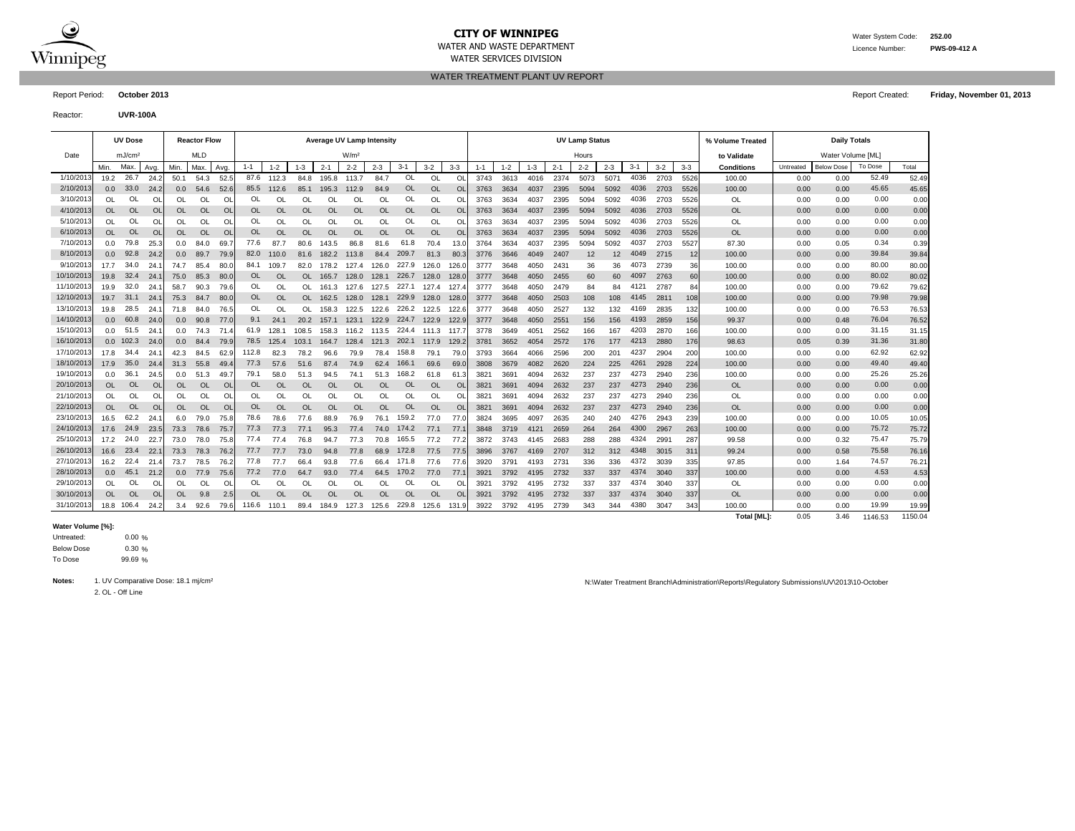

### **CITY OF WINNIPEG** WATER MATER WATER System Code: 252.00 WATER AND WASTE DEPARTMENT Licence Number: **PWS-09-412 A**

WATER SERVICES DIVISION

WATER TREATMENT PLANT UV REPORT

Report Period: **October 2013** Report Created: **Friday, November 01, 2013**

Reactor: **UVR-100A**

|            |                  | <b>UV Dose</b>     |                |                  | <b>Reactor Flow</b> |                |           |           |           |           | <b>Average UV Lamp Intensity</b> |           |           |           |           |         |         |         |         | <b>UV Lamp Status</b> |         |         |         |         | % Volume Treated   |           | <b>Daily Totals</b> |         |         |
|------------|------------------|--------------------|----------------|------------------|---------------------|----------------|-----------|-----------|-----------|-----------|----------------------------------|-----------|-----------|-----------|-----------|---------|---------|---------|---------|-----------------------|---------|---------|---------|---------|--------------------|-----------|---------------------|---------|---------|
| Date       |                  | mJ/cm <sup>2</sup> |                |                  | <b>MLD</b>          |                |           |           |           |           | W/m <sup>2</sup>                 |           |           |           |           |         |         |         |         | Hours                 |         |         |         |         | to Validate        |           | Water Volume [ML]   |         |         |
|            | Min.             | Max.               | Avg.           | Min.             | Max.                | Avg            | $1 - 1$   | $1 - 2$   | $1 - 3$   | $2 - 1$   | $2 - 2$                          | $2 - 3$   | $3 - 1$   | $3 - 2$   | $3 - 3$   | $1 - 1$ | $1 - 2$ | $1 - 3$ | $2 - 1$ | $2 - 2$               | $2 - 3$ | $3 - 1$ | $3 - 2$ | $3 - 3$ | <b>Conditions</b>  | Untreated | <b>Below Dose</b>   | To Dose | Total   |
| 1/10/2013  | 19.2             | 26.7               | 24.2           | 50.1             | 54.3                | 52.5           | 87.6      | 112.3     | 84.8      | 195.8     | 113.7                            | 84.7      | OL        | OL        | OL        | 3743    | 3613    | 4016    | 2374    | 5073                  | 5071    | 4036    | 2703    | 5526    | 100.00             | 0.00      | 0.00                | 52.49   | 52.49   |
| 2/10/2013  | 0.0              | 33.0               | 24.2           | 0.0              | 54.6                | 52.6           | 85.5      | 112.6     | 85.1      | 195.3     | 112.9                            | 84.9      | OL        | <b>OL</b> | <b>OL</b> | 3763    | 3634    | 4037    | 2395    | 5094                  | 5092    | 4036    | 2703    | 5526    | 100.00             | 0.00      | 0.00                | 45.65   | 45.65   |
| 3/10/2013  | <b>OL</b>        | OL                 | O              | <b>OL</b>        | <b>OL</b>           | <sup>O</sup>   | OL        | OL        | OL        | OL        | OL                               | OL        | OL        | OL        | O         | 3763    | 3634    | 4037    | 2395    | 5094                  | 5092    | 4036    | 2703    | 5526    | <b>OL</b>          | 0.00      | 0.00                | 0.00    | 0.00    |
| 4/10/2013  | <b>OL</b>        | <b>OL</b>          | O <sub>l</sub> | OL               | OL                  | O              | <b>OL</b> | OL        | <b>OL</b> | OL        | $\Omega$                         | <b>OL</b> | OL        | <b>OL</b> | <b>OL</b> | 3763    | 3634    | 4037    | 2395    | 5094                  | 5092    | 4036    | 2703    | 5526    | OL                 | 0.00      | 0.00                | 0.00    | 0.00    |
| 5/10/2013  | OL               | <b>OL</b>          | O              | OL               | OL                  | <sup>O</sup>   | OL        | OL        | OL        | OL        | OL                               | OL        | OL        | OL        | O         | 3763    | 3634    | 4037    | 2395    | 5094                  | 5092    | 4036    | 2703    | 5526    | OL                 | 0.00      | 0.00                | 0.00    | 0.00    |
| 6/10/2013  | <b>OL</b>        | OL                 | O <sub>l</sub> | OL               | <b>OL</b>           | O              | <b>OL</b> | OL        | OL        | <b>OL</b> | <b>OL</b>                        | <b>OL</b> | OL        | <b>OL</b> | <b>OL</b> | 3763    | 3634    | 4037    | 2395    | 5094                  | 5092    | 4036    | 2703    | 5526    | <b>OL</b>          | 0.00      | 0.00                | 0.00    | 0.00    |
| 7/10/201   | 0.0              | 79.8               | 25.3           | 0.0              | 84.0                | 69.            | 77.6      | 87.7      | 80.6      | 143.5     | 86.8                             | 81.6      | 61.8      | 70.4      | 13.0      | 3764    | 3634    | 4037    | 2395    | 5094                  | 5092    | 4037    | 2703    | 5527    | 87.30              | 0.00      | 0.05                | 0.34    | 0.39    |
| 8/10/2013  | 0.0 <sub>1</sub> | 92.8               | 24.2           | 0.0              | 89.7                | 79.9           | 82.0      | 110.0     | 81.6      | 182.2     | 113.8                            | 84.4      | 209.7     | 81.3      | 80.3      | 3776    | 3646    | 4049    | 2407    | 12                    | 12      | 4049    | 2715    | 12      | 100.00             | 0.00      | 0.00                | 39.84   | 39.84   |
| 9/10/201   | 17.7             | 34.0               | 24.            | 74.7             | 85.4                | 80.            | 84.1      | 109.7     | 82.0      | 178.2     | 127.4                            | 126.0     | 227.9     | 126.0     | 126.      | 3777    | 3648    | 4050    | 2431    | 36                    | 36      | 4073    | 2739    | 36      | 100.00             | 0.00      | 0.00                | 80.00   | 80.00   |
| 10/10/201  | 19.8             | 32.4               | 24.            | 75.0             | 85.3                | 80.            | <b>OL</b> | <b>OL</b> | OL.       | 165.7     | 128.0                            | 128.1     | 226.7     | 128.0     | 128.0     | 3777    | 3648    | 4050    | 2455    | 60                    | 60      | 4097    | 2763    | 60      | 100.00             | 0.00      | 0.00                | 80.02   | 80.02   |
| 11/10/2013 | 19.9             | 32.0               | 24.7           | 58.7             | 90.3                | 79.6           | OL        | OL        | OL        | 161.3     | 127.6                            | 127.5     | 227.1     | 127.4     | 127.4     | 3777    | 3648    | 4050    | 2479    | 84                    | 84      | 4121    | 2787    | 84      | 100.00             | 0.00      | 0.00                | 79.62   | 79.62   |
| 12/10/2013 | 19.7             | 31.1               | 24.            | 75.3             | 84.7                | 80.0           | <b>OL</b> | OL        |           | OL 162.5  | 128.0                            | 128.1     | 229.9     | 128.0     | 128.0     | 3777    | 3648    | 4050    | 2503    | 108                   | 108     | 4145    | 2811    | 108     | 100.00             | 0.00      | 0.00                | 79.98   | 79.98   |
| 13/10/2013 | 19.8             | 28.5               | 24.1           | 71.8             | 84.0                | 76.5           | OL        | <b>OL</b> | OL.       | 158.3     | 122.5                            | 122.6     | 226.2     | 122.5     | 122.6     | 3777    | 3648    | 4050    | 2527    | 132                   | 132     | 4169    | 2835    | 132     | 100.00             | 0.00      | 0.00                | 76.53   | 76.53   |
| 14/10/2013 | 0.0              | 60.8               | 24.0           | 0.0              | 90.8                | 77.0           | 9.1       | 24.1      | 20.2      | 157.1     | 123.1                            | 122.9     | 224.7     | 122.9     | 122.9     | 3777    | 3648    | 4050    | 2551    | 156                   | 156     | 4193    | 2859    | 156     | 99.37              | 0.00      | 0.48                | 76.04   | 76.52   |
| 15/10/2013 | 0.0              | 51.5               | 24.1           | 0.0              | 74.3                | 71.4           | 61.9      | 128.1     | 108.5     | 158.3     | 116.2                            | 113.5     | 224.4     | 111.3     | 117.7     | 3778    | 3649    | 405'    | 2562    | 166                   | 167     | 4203    | 2870    | 166     | 100.00             | 0.00      | 0.00                | 31.15   | 31.15   |
| 16/10/2013 |                  | $0.0$ 102.3        | 24.0           | 0.0 <sub>1</sub> | 84.4                | 79.9           | 78.5      | 125.4     | 103.1     | 164.7     | 128.4                            | 121.3     | 202.1     | 117.9     | 129.      | 3781    | 3652    | 4054    | 2572    | 176                   | 177     | 4213    | 2880    | 176     | 98.63              | 0.05      | 0.39                | 31.36   | 31.80   |
| 17/10/2013 | 17.8             | 34.4               | 24.1           | 42.3             | 84.5                | 62.9           | 112.8     | 82.3      | 78.2      | 96.6      | 79.9                             | 78.4      | 158.8     | 79.1      | 79.       | 3793    | 3664    | 4066    | 2596    | 200                   | 201     | 4237    | 2904    | 200     | 100.00             | 0.00      | 0.00                | 62.92   | 62.92   |
| 18/10/2013 | 17.9             | 35.0               | 24.4           | 31.3             | 55.8                | 49.            | 77.3      | 57.6      | 51.6      | 87.4      | 74.9                             | 62.4      | 166.1     | 69.6      | 69.       | 3808    | 3679    | 4082    | 2620    | 224                   | 225     | 4261    | 2928    | 224     | 100.00             | 0.00      | 0.00                | 49.40   | 49.40   |
| 19/10/2013 | 0.0              | 36.1               | 24.5           | 0.0              | 51.3                | 49.7           | 79.1      | 58.0      | 51.3      | 94.5      | 74.1                             | 51.3      | 168.2     | 61.8      | 61.3      | 3821    | 3691    | 4094    | 2632    | 237                   | 237     | 4273    | 2940    | 236     | 100.00             | 0.00      | 0.00                | 25.26   | 25.26   |
| 20/10/2013 | OL               | <b>OL</b>          | O <sub>l</sub> | OL               | <b>OL</b>           | O              | <b>OL</b> | $\Omega$  | <b>OL</b> | <b>OL</b> | $\Omega$                         | $\Omega$  | OL        | <b>OL</b> | $\Omega$  | 3821    | 3691    | 4094    | 2632    | 237                   | 237     | 4273    | 2940    | 236     | <b>OL</b>          | 0.00      | 0.00                | 0.00    | 0.00    |
| 21/10/2013 | <b>OL</b>        | Ol                 | <b>OI</b>      | OL               | OL                  | $\Omega$       | OL        | OL        | OL        | OL        | <b>OL</b>                        | OL        | OL        | OL        | <b>Ol</b> | 382'    | 3691    | 4094    | 2632    | 237                   | 237     | 4273    | 2940    | 236     | OL                 | 0.00      | 0.00                | 0.00    | 0.00    |
| 22/10/2013 | OL               | <b>OL</b>          | O <sub>l</sub> | OL               | <b>OL</b>           | O <sub>l</sub> | <b>OL</b> | OL        | <b>OL</b> | OL        | $\Omega$                         | $\Omega$  | <b>OL</b> | <b>OL</b> | $\Omega$  | 3821    | 3691    | 4094    | 2632    | 237                   | 237     | 4273    | 2940    | 236     | <b>OL</b>          | 0.00      | 0.00                | 0.00    | 0.00    |
| 23/10/201  | 16.5             | 62.2               | 24.            | 6.0              | 79.0                | 75.8           | 78.6      | 78.6      | 77.6      | 88.9      | 76.9                             | 76.1      | 159.2     | 77.0      | 77.0      | 3824    | 3695    | 4097    | 2635    | 240                   | 240     | 4276    | 2943    | 239     | 100.00             | 0.00      | 0.00                | 10.05   | 10.05   |
| 24/10/2013 | 17.6             | 24.9               | 23.5           | 73.3             | 78.6                | 75.7           | 77.3      | 77.3      | 77.1      | 95.3      | 77.4                             | 74.0      | 174.2     | 77.1      | 77.5      | 3848    | 3719    | 4121    | 2659    | 264                   | 264     | 4300    | 2967    | 263     | 100.00             | 0.00      | 0.00                | 75.72   | 75.72   |
| 25/10/2013 | 17.2             | 24.0               | 22.7           | 73.0             | 78.0                | 75.8           | 77.4      | 77.4      | 76.8      | 94.7      | 77.3                             | 70.8      | 165.5     | 77.2      | 77.2      | 3872    | 3743    | 4145    | 2683    | 288                   | 288     | 4324    | 2991    | 28      | 99.58              | 0.00      | 0.32                | 75.47   | 75.79   |
| 26/10/2013 | 16.6             | 23.4               | 22.            | 73.3             | 78.3                | 76.2           | 77.7      | 77.7      | 73.0      | 94.8      | 77.8                             | 68.9      | 172.8     | 77.5      | 77.5      | 3896    | 3767    | 4169    | 2707    | 312                   | 312     | 4348    | 3015    | 31'     | 99.24              | 0.00      | 0.58                | 75.58   | 76.16   |
| 27/10/2013 | 16.2             | 22.4               | 21.4           | 73.7             | 78.5                | 76.2           | 77.8      | 77.7      | 66.4      | 93.8      | 77.6                             | 66.4      | 171.8     | 77.6      | 77.6      | 3920    | 3791    | 4193    | 273     | 336                   | 336     | 4372    | 3039    | 335     | 97.85              | 0.00      | 1.64                | 74.57   | 76.21   |
| 28/10/2013 | 0.0              | 45.1               | 21.2           | 0.0 <sub>1</sub> | 77.9                | 75.6           | 77.2      | 77.0      | 64.7      | 93.0      | 77.4                             | 64.5      | 170.2     | 77.0      | 77.7      | 3921    | 3792    | 4195    | 2732    | 337                   | 337     | 4374    | 3040    | 337     | 100.00             | 0.00      | 0.00                | 4.53    | 4.53    |
| 29/10/2013 | <b>OL</b>        | OL                 | O              | OL               | OL                  | <sup>O</sup>   | 0L        | OL        | OL        | OL        | OL                               | OL        | OL        | OL        | O         | 3921    | 3792    | 4195    | 2732    | 337                   | 337     | 4374    | 3040    | 33      | OL                 | 0.00      | 0.00                | 0.00    | 0.00    |
| 30/10/2013 | OL               | <b>OL</b>          | <b>OL</b>      | <b>OL</b>        | 9.8                 | 2.5            | <b>OL</b> | <b>OL</b> | <b>OL</b> | <b>OL</b> | OL                               | <b>OL</b> | <b>OL</b> | <b>OL</b> | <b>OL</b> | 3921    | 3792    | 4195    | 2732    | 337                   | 337     | 4374    | 3040    | 337     | OL                 | 0.00      | 0.00                | 0.00    | 0.00    |
| 31/10/2013 | 18.8             | 106.4              | 24.2           | 3.4              | 92.6                | 79.6           | 116.6     | 110.1     | 89.4      | 184.9     | 127.3                            | 125.6     | 229.8     | 125.6     | 131.9     | 3922    | 3792    | 4195    | 2739    | 343                   | 344     | 4380    | 3047    | 343     | 100.00             | 0.00      | 0.00                | 19.99   | 19.99   |
|            |                  |                    |                |                  |                     |                |           |           |           |           |                                  |           |           |           |           |         |         |         |         |                       |         |         |         |         | <b>Total [ML]:</b> | 0.05      | 3.46                | 1146.53 | 1150.04 |

#### **Water Volume [%]:**

0.00 % 0.30 % 99.69 % To Dose Below Dose Untreated:

Notes: 1. UV Comparative Dose: 18.1 mj/cm<sup>2</sup> and the Comparative Dose: 18.1 mj/cm<sup>2</sup> and the Comparative Dose: 18.1 mj/cm<sup>2</sup> and the Comparative Dose: 18.1 mj/cm<sup>2</sup> and the Comparative Dose: 18.1 mj/cm<sup>2</sup> and the Comparati

2. OL - Off Line

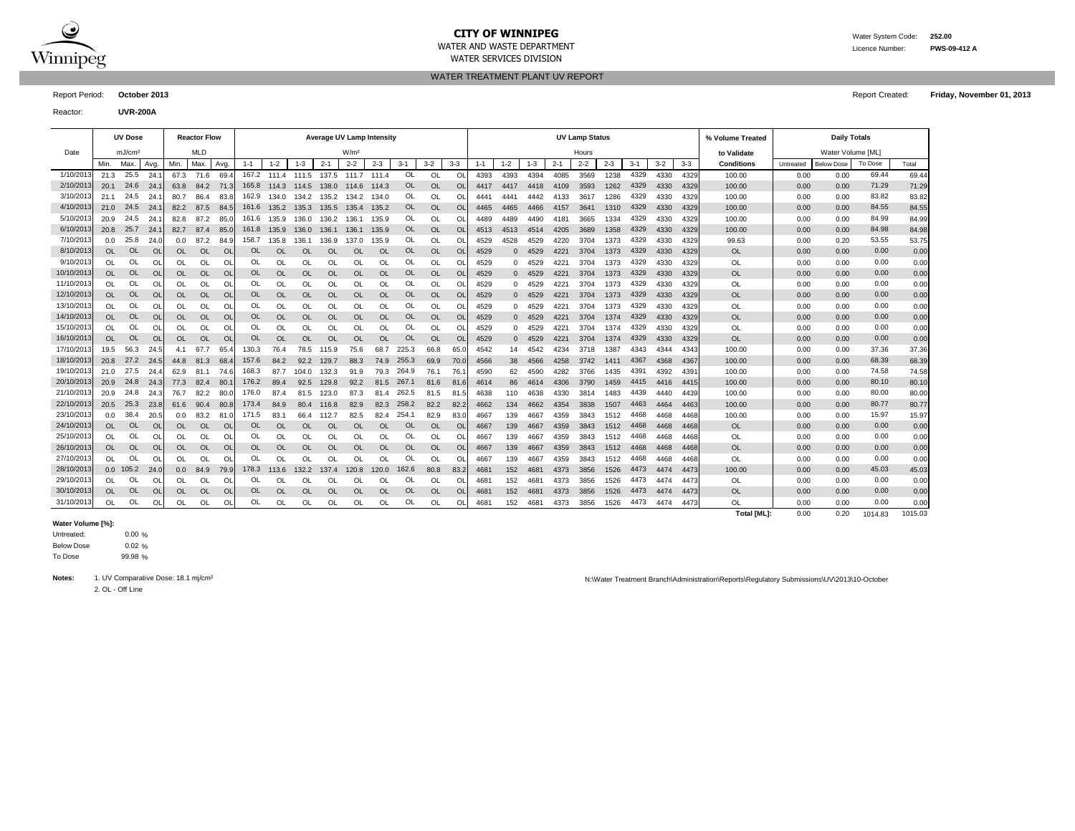

 $\overline{a}$ 

# **CITY OF WINNIPEG** WATER MATER WATER System Code: 252.00

WATER SERVICES DIVISION

WATER AND WASTE DEPARTMENT Licence Number: **PWS-09-412 A**

### WATER TREATMENT PLANT UV REPORT

Report Period: **October 2013** Report Created: **Friday, November 01, 2013**

Reactor: **UVR-200A**

|            |           | <b>UV Dose</b>     |                |           | <b>Reactor Flow</b> |                |           |           |           | <b>Average UV Lamp Intensity</b> |                  |           |           |           |               |      |          |          |         | <b>UV Lamp Status</b> |         |         |         |         | % Volume Treated  |           | <b>Daily Totals</b> |         |         |
|------------|-----------|--------------------|----------------|-----------|---------------------|----------------|-----------|-----------|-----------|----------------------------------|------------------|-----------|-----------|-----------|---------------|------|----------|----------|---------|-----------------------|---------|---------|---------|---------|-------------------|-----------|---------------------|---------|---------|
| Date       |           | mJ/cm <sup>2</sup> |                |           | <b>MLD</b>          |                |           |           |           |                                  | W/m <sup>2</sup> |           |           |           |               |      |          |          |         | Hours                 |         |         |         |         | to Validate       |           | Water Volume [ML]   |         |         |
|            | Min.      | Max                | Avg            | Min.      | Max.                | Avg            | $1 - 1$   | $1 - 2$   | $1 - 3$   | $2 - 1$                          | $2 - 2$          | $2 - 3$   | $3 - 1$   | $3 - 2$   | $3 - 3$       | 1-1  | $1 - 2$  | 1-3      | $2 - 1$ | $2 - 2$               | $2 - 3$ | $3 - 1$ | $3 - 2$ | $3 - 3$ | <b>Conditions</b> | Untreated | <b>Below Dose</b>   | To Dose | Total   |
| 1/10/201   | 21.3      | 25.5               | 24.1           | 67.3      | 71.6                | 69.            | 167.2     | 111.4     | 111.5     | 137.5                            | 111.7            | 111.4     | <b>OL</b> | OL        | OL            | 4393 | 4393     | 4394     | 4085    | 3569                  | 1238    | 4329    | 4330    | 4329    | 100.00            | 0.00      | 0.00                | 69.44   | 69.44   |
| 2/10/2013  | 20.1      | 24.6               | 24.            | 63.8      | 84.2                | 71.3           | 165.8     | 114.3     | 114.5     | 138.0                            | 114.6            | 114.3     | OL        | <b>OL</b> | $\Omega$      | 4417 | 4417     | 4418     | 4109    | 3593                  | 1262    | 4329    | 4330    | 4329    | 100.00            | 0.00      | 0.00                | 71.29   | 71.29   |
| 3/10/201   | 21.1      | 24.5               | 24.            | 80.7      | 86.4                | 83.8           | 162.9     | 134.0     | 134.2     | 135.2                            | 134.2            | 134.0     | Ol        | OL        | $\Omega$      | 4441 | 4441     | 4442     | 4133    | 3617                  | 1286    | 4329    | 4330    | 4329    | 100.00            | 0.00      | 0.00                | 83.82   | 83.82   |
| 4/10/201   | 21.0      | 24.5               | 24.            | 82.2      | 87.5                | 84.            | 161.6     | 135.2     | 135.3     | 135.5                            | 135.4            | 135.2     | OL        | <b>OL</b> | $\Omega$      | 4465 | 4465     | 4466     | 4157    | 3641                  | 1310    | 4329    | 4330    | 4329    | 100.00            | 0.00      | 0.00                | 84.55   | 84.55   |
| 5/10/2013  | 20.9      | 24.5               | 24.            | 82.8      | 87.2                | 85.            | 161.6     | 135.9     | 136.0     | 136.2                            | 136.1            | 135.9     | OL        | OL        | OL            | 4489 | 4489     | 4490     | 4181    | 3665                  | 1334    | 4329    | 4330    | 4329    | 100.00            | 0.00      | 0.00                | 84.99   | 84.99   |
| 6/10/2013  | 20.8      | 25.7               | 24.1           | 82.7      | 87.4                | 85.0           | 161.8     | 135.9     | 136.0     | 136.1                            | 136.1            | 135.9     | OL        | <b>OL</b> | <b>OL</b>     | 4513 | 4513     | 4514     | 4205    | 3689                  | 1358    | 4329    | 4330    | 4329    | 100.00            | 0.00      | 0.00                | 84.98   | 84.98   |
| 7/10/2013  | 0.0       | 25.8               | 24.0           | 0.0       | 87.2                | 84.9           | 158.7     | 135.8     | 136.1     | 136.9                            | 137.0            | 135.9     | OL        | OL        | <sup>OL</sup> | 4529 | 4528     | 4529     | 4220    | 3704                  | 1373    | 4329    | 4330    | 4329    | 99.63             | 0.00      | 0.20                | 53.55   | 53.75   |
| 8/10/2013  | <b>OL</b> | <b>OL</b>          | O <sub>l</sub> | <b>OL</b> | <b>OL</b>           | O <sub>l</sub> | <b>OL</b> | <b>OL</b> | <b>OL</b> | <b>OL</b>                        | <b>OL</b>        | <b>OL</b> | <b>OL</b> | <b>OL</b> | <b>OL</b>     | 4529 | $\Omega$ | 4529     | 4221    | 3704                  | 1373    | 4329    | 4330    | 4329    | <b>OL</b>         | 0.00      | 0.00                | 0.00    | 0.00    |
| 9/10/2013  | OL.       | <b>OL</b>          | <b>OI</b>      | OL        | OL                  | <sup>O</sup>   | OL        | OL        | OL        | <b>OL</b>                        | OL               | OL        | OL        | <b>OL</b> | OL            | 4529 | $\Omega$ | 4529     | 422     | 3704                  | 1373    | 4329    | 4330    | 4329    | <b>OL</b>         | 0.00      | 0.00                | 0.00    | 0.00    |
| 10/10/2013 | <b>OL</b> | <b>OL</b>          | OL             | <b>OL</b> | <b>OL</b>           | O              | <b>OL</b> | <b>OL</b> | <b>OL</b> | OL                               | <b>OL</b>        | <b>OL</b> | OL        | OL        | OL            | 4529 | $\Omega$ | 4529     | 4221    | 3704                  | 1373    | 4329    | 4330    | 4329    | <b>OL</b>         | 0.00      | 0.00                | 0.00    | 0.00    |
| 11/10/2013 | OL        | <b>OL</b>          | <b>OI</b>      | OL        | OL                  | O              | OL        | OL        | OL        | OL                               | OL               | OL        | OL        | OL        | OL            | 4529 | $\Omega$ | 4529     | 422     | 3704                  | 1373    | 4329    | 4330    | 4329    | OL                | 0.00      | 0.00                | 0.00    | 0.00    |
| 12/10/2013 | <b>OL</b> | <b>OL</b>          | O <sub>l</sub> | <b>OL</b> | <b>OL</b>           | O              | OL        | <b>OL</b> | <b>OL</b> | <b>OL</b>                        | <b>OL</b>        | <b>OL</b> | OL        | <b>OL</b> | OL            | 4529 | $\Omega$ | 4529     | 4221    | 3704                  | 1373    | 4329    | 4330    | 4329    | <b>OL</b>         | 0.00      | 0.00                | 0.00    | 0.00    |
| 13/10/201  | <b>OL</b> | <b>OL</b>          | <b>OI</b>      | OL        | OL                  | O              | OL        | OL        | OL        | OL                               | <b>OL</b>        | OL        | OL        | OL        | OL            | 4529 | $\Omega$ | 4529     | 4221    | 3704                  | 1373    | 4329    | 4330    | 4329    | <b>OL</b>         | 0.00      | 0.00                | 0.00    | 0.00    |
| 14/10/2013 | <b>OL</b> | <b>OL</b>          | O <sub>l</sub> | <b>OL</b> | <b>OL</b>           | O              | <b>OL</b> | <b>OL</b> | <b>OL</b> | OL                               | <b>OL</b>        | <b>OL</b> | OL        | <b>OL</b> | <b>OL</b>     | 4529 |          | $0$ 4529 | 4221    | 3704                  | 1374    | 4329    | 4330    | 4329    | <b>OL</b>         | 0.00      | 0.00                | 0.00    | 0.00    |
| 15/10/2013 | $\Omega$  | <b>OL</b>          | <b>OI</b>      | OL        | OL                  | O              | OL        | OL        | OL        | OL                               | <b>OL</b>        | OL        | OL        | OL        | OL            | 4529 | $\Omega$ | 4529     | 422'    | 3704                  | 1374    | 4329    | 4330    | 4329    | <b>OL</b>         | 0.00      | 0.00                | 0.00    | 0.00    |
| 16/10/2013 | <b>OL</b> | <b>OL</b>          | $\overline{O}$ | <b>OL</b> | OL                  | O              | <b>OL</b> | <b>OL</b> | <b>OL</b> | <b>OL</b>                        | <b>OL</b>        | <b>OL</b> | <b>OL</b> | <b>OL</b> | <b>OL</b>     | 4529 | $\Omega$ | 4529     | 4221    | 3704                  | 1374    | 4329    | 4330    | 4329    | <b>OL</b>         | 0.00      | 0.00                | 0.00    | 0.00    |
| 17/10/2013 | 19.5      | 56.3               | 24.5           | 4.1       | 67.7                | 65.4           | 130.3     | 76.4      | 78.5      | 115.9                            | 75.6             | 68.7      | 225.3     | 66.8      | 65.0          | 4542 | 14       | 4542     | 4234    | 3718                  | 1387    | 4343    | 4344    | 4343    | 100.00            | 0.00      | 0.00                | 37.36   | 37.36   |
| 18/10/2013 | 20.8      | 27.2               | 24.5           | 44.8      | 81.3                | 68.            | 157.6     | 84.2      | 92.2      | 129.7                            | 88.3             | 74.9      | 255.3     | 69.9      | 70.0          | 4566 | 38       | 4566     | 4258    | 3742                  | 1411    | 4367    | 4368    | 4367    | 100.00            | 0.00      | 0.00                | 68.39   | 68.39   |
| 19/10/2013 | 21.0      | 27.5               | 24.4           | 62.9      | 81.1                | 74.6           | 168.3     | 87.7      | 104.0     | 132.3                            | 91.9             | 79.3      | 264.9     | 76.1      | 76.           | 4590 | 62       | 4590     | 4282    | 3766                  | 1435    | 4391    | 4392    | 4391    | 100.00            | 0.00      | 0.00                | 74.58   | 74.58   |
| 20/10/2013 | 20.9      | 24.8               | 24.3           | 77.3      | 82.4                | - 80.          | 176.2     | 89.4      | 92.5      | 129.8                            | 92.2             | 81.5      | 267.1     | 81.6      | 81.           | 4614 | 86       | 4614     | 4306    | 3790                  | 1459    | 4415    | 4416    | 4415    | 100.00            | 0.00      | 0.00                | 80.10   | 80.10   |
| 21/10/2013 | 20.9      | 24.8               | 24.3           | 76.7      | 82.2                | 80.            | 176.0     | 87.4      | 81.5      | 123.0                            | 87.3             | 81.4      | 262.5     | 81.5      | 81.5          | 4638 | 110      | 4638     | 4330    | 3814                  | 1483    | 4439    | 4440    | 4439    | 100.00            | 0.00      | 0.00                | 80.00   | 80.00   |
| 22/10/2013 | 20.5      | 25.3               | 23.8           | 61.6      | 90.4                | 80.8           | 173.4     | 84.9      | 80.4      | 116.8                            | 82.9             | 82.3      | 258.2     | 82.2      | 82.2          | 4662 | 134      | 4662     | 4354    | 3838                  | 1507    | 4463    | 4464    | 4463    | 100.00            | 0.00      | 0.00                | 80.77   | 80.77   |
| 23/10/2013 | 0.0       | 38.4               | 20.5           | 0.0       | 83.2                | 81.            | 171.5     | 83.1      | 66.4      | 112.7                            | 82.5             | 82.4      | 254.      | 82.9      | 83.0          | 4667 | 139      | 4667     | 4359    | 3843                  | 1512    | 4468    | 4468    | 4468    | 100.00            | 0.00      | 0.00                | 15.97   | 15.97   |
| 24/10/2013 | <b>OL</b> | <b>OL</b>          | O <sub>l</sub> | OL        | <b>OL</b>           | O <sub>l</sub> | 0L        | <b>OL</b> | <b>OL</b> | <b>OL</b>                        | <b>OL</b>        | <b>OL</b> | <b>OL</b> | <b>OL</b> | OL            | 4667 | 139      | 4667     | 4359    | 3843                  | 1512    | 4468    | 4468    | 4468    | <b>OL</b>         | 0.00      | 0.00                | 0.00    | 0.00    |
| 25/10/2013 | <b>OL</b> | Ol                 | <b>OI</b>      | OL        | OL                  | O              | OL        | OL        | OL        | OL                               | <b>OL</b>        | OL        | OL        | OL        | O             | 4667 | 139      | 4667     | 4359    | 3843                  | 1512    | 4468    | 4468    | 4468    | <b>OL</b>         | 0.00      | 0.00                | 0.00    | 0.00    |
| 26/10/2013 | OL        | OL                 | <b>OI</b>      | OL        | OL                  | O              | OL        | <b>OL</b> | <b>OL</b> | OL                               | <b>OL</b>        | <b>OL</b> | OL        | <b>OL</b> | $\Omega$      | 4667 | 139      | 4667     | 4359    | 3843                  | 1512    | 4468    | 4468    | 4468    | <b>OL</b>         | 0.00      | 0.00                | 0.00    | 0.00    |
| 27/10/2013 | <b>OL</b> | <b>OL</b>          | <b>OI</b>      | OL        | OL                  | O              | OL        | OL        | <b>OL</b> | OL                               | <b>OL</b>        | OL        | OL        | OL        | OL            | 4667 | 139      | 4667     | 4359    | 3843                  | 1512    | 4468    | 4468    | 4468    | <b>OL</b>         | 0.00      | 0.00                | 0.00    | 0.00    |
| 28/10/2013 |           | $0.0$ 105.2        | 24.0           | 0.0       | 84.9                | 79.9           | 178.3     | 113.6     | 132.2     | 137.4                            | 120.8            | 120.0     | 162.6     | 80.8      | 83.2          | 4681 | 152      | 468'     | 4373    | 3856                  | 1526    | 4473    | 4474    | 4473    | 100.00            | 0.00      | 0.00                | 45.03   | 45.03   |
| 29/10/2013 | <b>OL</b> | OL                 | O              | OL        | OL                  | O              | OL        | OL        | OL        | OL                               | OL               | OL        | OL        | OL        | OL            | 4681 | 152      | 4681     | 4373    | 3856                  | 1526    | 4473    | 4474    | 4473    | <b>OL</b>         | 0.00      | 0.00                | 0.00    | 0.00    |
| 30/10/2013 | <b>OL</b> | <b>OL</b>          | O <sub>l</sub> | <b>OL</b> | <b>OL</b>           | O              | <b>OL</b> | <b>OL</b> | <b>OL</b> | <b>OL</b>                        | <b>OL</b>        | <b>OL</b> | <b>OL</b> | <b>OL</b> | <b>OL</b>     | 4681 | 152      | 4681     | 4373    | 3856                  | 1526    | 4473    | 4474    | 4473    | <b>OL</b>         | 0.00      | 0.00                | 0.00    | 0.00    |
| 31/10/2013 | <b>OL</b> | OL                 | <b>OI</b>      | OL        | OL                  | $\Omega$       | OL        | OL        | OL        | OL                               | OL               | OL        | OL        | OL        | OL            | 468  | 152      | 468      | 4373    | 3856                  | 1526    | 4473    | 4474    | 4473    | <b>OL</b>         | 0.00      | 0.00                | 0.00    | 0.00    |
|            |           |                    |                |           |                     |                |           |           |           |                                  |                  |           |           |           |               |      |          |          |         |                       |         |         |         |         | Total [ML]:       | 0.00      | 0.20                | 1014.83 | 1015.03 |

#### **Water Volume [%]:**

0.00 % 0.02 % 99.98 % To Dose Below Dose Untreated:

2. OL - Off Line

Notes: 1. UV Comparative Dose: 18.1 mj/cm<sup>2</sup> and the Comparative Dose: 18.1 mj/cm<sup>2</sup> and the Comparative Dose: 18.1 mj/cm<sup>2</sup> and the Comparative Dose: 18.1 mj/cm<sup>2</sup> and the Comparative Dose: 18.1 mj/cm<sup>2</sup> and the Comparati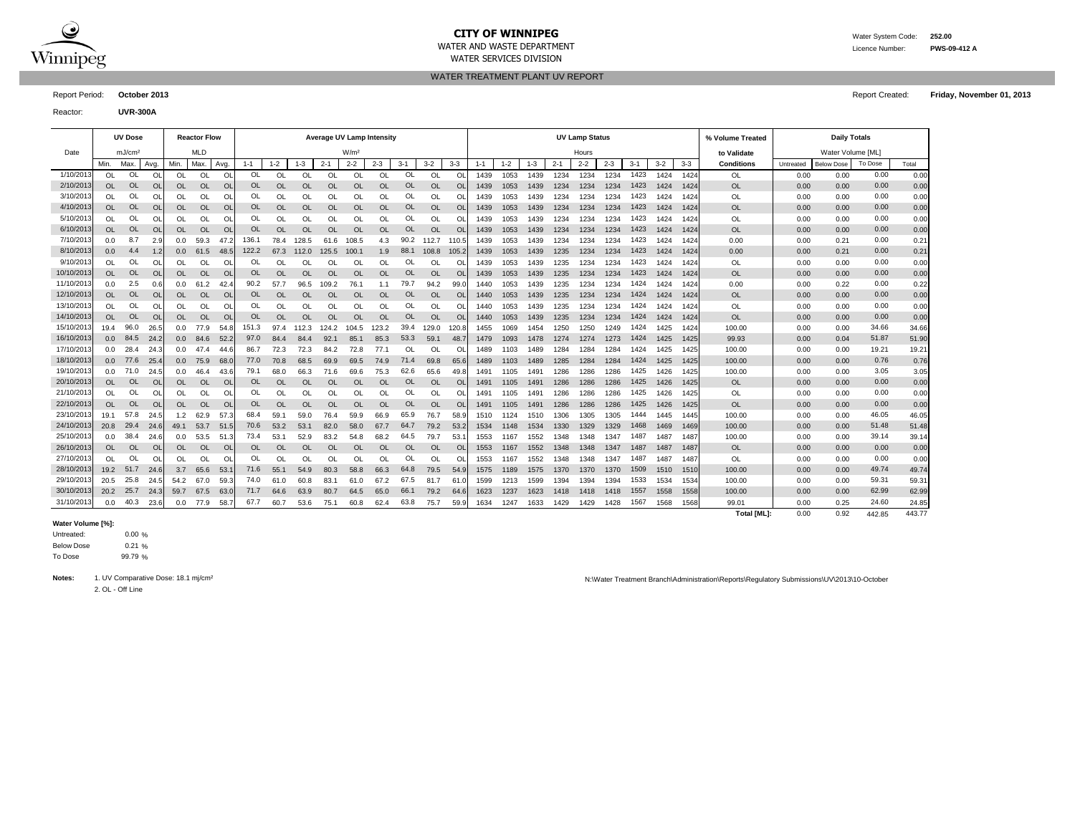

# **CITY OF WINNIPEG** WATER MATER WATER System Code: 252.00

WATER SERVICES DIVISION

WATER AND WASTE DEPARTMENT Licence Number: **PWS-09-412 A**

WATER TREATMENT PLANT UV REPORT

Reactor: **UVR-300A**

|            |           | <b>UV Dose</b>     |                |                  | <b>Reactor Flow</b> |           |           |           |           | <b>Average UV Lamp Intensity</b> |                  |           |           |           |           |         |         |         |         | <b>UV Lamp Status</b> |         |         |         |         | % Volume Treated  |           | <b>Daily Totals</b> |         |       |
|------------|-----------|--------------------|----------------|------------------|---------------------|-----------|-----------|-----------|-----------|----------------------------------|------------------|-----------|-----------|-----------|-----------|---------|---------|---------|---------|-----------------------|---------|---------|---------|---------|-------------------|-----------|---------------------|---------|-------|
| Date       |           | mJ/cm <sup>2</sup> |                |                  | <b>MLD</b>          |           |           |           |           |                                  | W/m <sup>2</sup> |           |           |           |           |         |         |         |         | Hours                 |         |         |         |         | to Validate       |           | Water Volume [ML]   |         |       |
|            | Min.      | Max.               | Avg.           | Min.             | Max                 | Avg.      | $1 - 1$   | $1 - 2$   | $1 - 3$   | $2 - 1$                          | $2 - 2$          | $2 - 3$   | $3 - 1$   | $3-2$     | $3 - 3$   | $1 - 1$ | $1 - 2$ | $1 - 3$ | $2 - 1$ | $2 - 2$               | $2 - 3$ | $3 - 1$ | $3 - 2$ | $3 - 3$ | <b>Conditions</b> | Untreated | <b>Below Dose</b>   | To Dose | Total |
| 1/10/2013  | OL.       | OL                 | O              | OL               | OL                  | O         | 0L        | OL        | <b>OL</b> | O                                | OL               | <b>OL</b> | OL        | O         | <b>Ol</b> | 1439    | 1053    | 1439    | 1234    | 1234                  | 1234    | 1423    | 1424    | 1424    | OL                | 0.00      | 0.00                | 0.00    | 0.00  |
| 2/10/2013  | OL        | <b>OL</b>          | O <sub>l</sub> | OL               | <b>OL</b>           | <b>OL</b> | <b>OL</b> | OL        | <b>OL</b> | OL                               | OL               | $\Omega$  | <b>OL</b> | <b>OL</b> | <b>Ol</b> | 1439    | 1053    | 1439    | 1234    | 1234                  | 1234    | 1423    | 1424    | 1424    | OL                | 0.00      | 0.00                | 0.00    | 0.00  |
| 3/10/2013  | <b>OL</b> | OL                 | O              | OL               | OL                  | O         | OL        | OL        | OL        | OL                               | OL               | <b>OL</b> | OL        | OL        | O         | 1439    | 1053    | 1439    | 1234    | 1234                  | 1234    | 1423    | 1424    | 1424    | OL                | 0.00      | 0.00                | 0.00    | 0.00  |
| 4/10/2013  | <b>OL</b> | <b>OL</b>          | O              | OL               | OL                  | <b>OL</b> | <b>OL</b> | <b>OL</b> | <b>OL</b> | OL                               | <b>OL</b>        | $\Omega$  | OL        | <b>OL</b> | O         | 1439    | 1053    | 1439    | 1234    | 1234                  | 1234    | 1423    | 1424    | 1424    | <b>OL</b>         | 0.00      | 0.00                | 0.00    | 0.00  |
| 5/10/2013  | <b>OL</b> | OL                 | O              | OL               | OL                  | O         | OL        | OL        | OL        | OL                               | OL               | <b>OL</b> | OL        | OL        | O         | 1439    | 1053    | 1439    | 1234    | 1234                  | 1234    | 1423    | 1424    | 1424    | OL                | 0.00      | 0.00                | 0.00    | 0.00  |
| 6/10/2013  | <b>OL</b> | <b>OL</b>          | <b>OI</b>      | <b>OL</b>        | <b>OL</b>           | <b>OL</b> | OL        | <b>OL</b> | <b>OL</b> | <b>OL</b>                        | <b>OL</b>        | <b>OL</b> | <b>OL</b> | <b>OL</b> | <b>Ol</b> | 1439    | 1053    | 1439    | 1234    | 1234                  | 1234    | 1423    | 1424    | 1424    | <b>OL</b>         | 0.00      | 0.00                | 0.00    | 0.00  |
| 7/10/2013  | 0.0       | 8.7                | 2.9            | 0.0              | 59.3                | 47.       | 136.1     | 78.4      | 128.5     | 61.6                             | 108.5            | 4.3       | 90.2      | 112.7     | 110.      | 1439    | 1053    | 1439    | 1234    | 1234                  | 1234    | 1423    | 1424    | 1424    | 0.00              | 0.00      | 0.21                | 0.00    | 0.21  |
| 8/10/2013  | 0.0       | 4.4                | 1.2            | 0.0              | 61.5                | 48.5      | 122.2     | 67.3      | 112.0     | 125.5                            | 100.1            | 1.9       | 88.1      | 108.8     | 105.      | 1439    | 1053    | 1439    | 1235    | 1234                  | 1234    | 1423    | 1424    | 1424    | 0.00              | 0.00      | 0.21                | 0.00    | 0.21  |
| 9/10/2013  | <b>OL</b> | OL                 | <b>OI</b>      | OL               | OL                  | O         | OL        | OL        | OL        | OL                               | OL               | OL        | OL        | OL        | O         | 1439    | 1053    | 1439    | 1235    | 1234                  | 1234    | 1423    | 1424    | 1424    | OL                | 0.00      | 0.00                | 0.00    | 0.00  |
| 10/10/2013 | <b>OL</b> | <b>OL</b>          | O <sub>l</sub> | OL               | <b>OL</b>           | <b>OL</b> | <b>OL</b> | <b>OL</b> | <b>OL</b> | <b>OL</b>                        | <b>OL</b>        | <b>OL</b> | OL        | <b>OL</b> | <b>Ol</b> | 1439    | 1053    | 1439    | 1235    | 1234                  | 1234    | 1423    | 1424    | 1424    | <b>OL</b>         | 0.00      | 0.00                | 0.00    | 0.00  |
| 11/10/2013 | 0.0       | 2.5                | 0.6            | 0.0              | 61.2                | 42        | 90.2      | 57.7      | 96.5      | 109.2                            | 76.1             | 1.1       | 79.7      | 94.2      | 99.       | 1440    | 1053    | 1439    | 1235    | 1234                  | 1234    | 1424    | 1424    | 1424    | 0.00              | 0.00      | 0.22                | 0.00    | 0.22  |
| 12/10/2013 | <b>OL</b> | <b>OL</b>          | <b>OI</b>      | OL               | <b>OL</b>           | <b>OL</b> | <b>OL</b> | <b>OL</b> | OL        | OL                               | <b>OL</b>        | <b>OL</b> | <b>OL</b> | <b>OL</b> | <b>Ol</b> | 1440    | 1053    | 1439    | 1235    | 1234                  | 1234    | 1424    | 1424    | 1424    | <b>OL</b>         | 0.00      | 0.00                | 0.00    | 0.00  |
| 13/10/2013 | <b>OL</b> | OL                 | O              | OL               | OL                  | O         | OL        | OL        | OL        | OL                               | OL               | <b>OL</b> | OL        | OL        | O         | 1440    | 1053    | 1439    | 1235    | 1234                  | 1234    | 1424    | 1424    | 1424    | OL                | 0.00      | 0.00                | 0.00    | 0.00  |
| 14/10/2013 | <b>OL</b> | <b>OL</b>          | <b>OI</b>      | OL               | <b>OL</b>           | <b>OL</b> | <b>OL</b> | <b>OL</b> | OL        | <b>OL</b>                        | <b>OL</b>        | <b>OL</b> | <b>OL</b> | OL        | OL        | 1440    | 1053    | 1439    | 1235    | 1234                  | 1234    | 1424    | 1424    | 1424    | <b>OL</b>         | 0.00      | 0.00                | 0.00    | 0.00  |
| 15/10/2013 | 19.4      | 96.0               | 26.5           | 0.0              | 77.9                | 54.8      | 151.3     | 97.4      | 12.3      | 124.2                            | 104.5            | 123.2     | 39.4      | 129.0     | 120.8     | 1455    | 1069    | 1454    | 1250    | 1250                  | 1249    | 1424    | 1425    | 1424    | 100.00            | 0.00      | 0.00                | 34.66   | 34.66 |
| 16/10/2013 | 0.0       | 84.5               | 24.2           | 0.0              | 84.6                | 52.2      | 97.0      | 84.4      | 84.4      | 92.1                             | 85.1             | 85.3      | 53.3      | 59.1      | 48.       | 1479    | 1093    | 1478    | 1274    | 1274                  | 1273    | 1424    | 1425    | 1425    | 99.93             | 0.00      | 0.04                | 51.87   | 51.90 |
| 17/10/2013 | 0.0       | 28.4               | 24.3           | 0.0              | 47.4                | 44.6      | 86.7      | 72.3      | 72.3      | 84.2                             | 72.8             | 77.1      | OL        | OL        | O         | 1489    | 1103    | 1489    | 1284    | 1284                  | 1284    | 1424    | 1425    | 1425    | 100.00            | 0.00      | 0.00                | 19.21   | 19.21 |
| 18/10/2013 | 0.0       | 77.6               | 25.            | 0.0 <sub>1</sub> | 75.9                | 68.       | 77.0      | 70.8      | 68.5      | 69.9                             | 69.5             | 74.9      | 71.4      | 69.8      | 65.6      | 1489    | 1103    | 1489    | 1285    | 1284                  | 1284    | 1424    | 1425    | 1425    | 100.00            | 0.00      | 0.00                | 0.76    | 0.76  |
| 19/10/2013 | 0.0       | 71.0               | 24.5           | 0.0              | 46.4                | 43.6      | 79.1      | 68.0      | 66.3      | 71.6                             | 69.6             | 75.3      | 62.6      | 65.6      | 49.       | 1491    | 1105    | 1491    | 1286    | 1286                  | 1286    | 1425    | 1426    | 1425    | 100.00            | 0.00      | 0.00                | 3.05    | 3.05  |
| 20/10/2013 | OL.       | <b>OL</b>          | <b>OI</b>      | OL               | <b>OL</b>           | <b>OL</b> | <b>OL</b> | $\Omega$  | <b>OL</b> | <b>OL</b>                        | <b>OL</b>        | OL        | <b>OL</b> | <b>OL</b> | <b>Ol</b> | 1491    | 1105    | 1491    | 1286    | 1286                  | 1286    | 1425    | 1426    | 1425    | <b>OL</b>         | 0.00      | 0.00                | 0.00    | 0.00  |
| 21/10/2013 | <b>OL</b> | OL                 | O              | OL               | OL                  | $\Omega$  | OL        | OL        | OL        | <b>OL</b>                        | OL               | <b>OL</b> | OL        | OL        | Ω         | 1491    | 1105    | 1491    | 1286    | 1286                  | 1286    | 1425    | 1426    | 1425    | OL                | 0.00      | 0.00                | 0.00    | 0.00  |
| 22/10/2013 | <b>OL</b> | <b>OL</b>          | $\circ$        | OL               | <b>OL</b>           | $\circ$   | <b>OL</b> | <b>OL</b> | <b>OL</b> | OL                               | <b>OL</b>        | <b>OL</b> | OL        | <b>OL</b> | O         | 1491    | 1105    | 1491    | 1286    | 1286                  | 1286    | 1425    | 1426    | 1425    | <b>OL</b>         | 0.00      | 0.00                | 0.00    | 0.00  |
| 23/10/2013 | 19.1      | 57.8               | 24.5           | 1.2              | 62.9                | 57.3      | 68.4      | 59.1      | 59.0      | 76.4                             | 59.9             | 66.9      | 65.9      | 76.7      | 58.9      | 1510    | 1124    | 1510    | 1306    | 1305                  | 1305    | 1444    | 1445    | 1445    | 100.00            | 0.00      | 0.00                | 46.05   | 46.05 |
| 24/10/2013 | 20.8      | 29.4               | 24.6           | 49.1             | 53.7                | 51.5      | 70.6      | 53.2      | 53.1      | 82.0                             | 58.0             | 67.7      | 64.7      | 79.2      | 53.2      | 1534    | 1148    | 1534    | 1330    | 1329                  | 1329    | 1468    | 1469    | 1469    | 100.00            | 0.00      | 0.00                | 51.48   | 51.48 |
| 25/10/2013 | 0.0       | 38.4               | 24.6           | 0.0              | 53.5                | 51.3      | 73.4      | 53.1      | 52.9      | 83.2                             | 54.8             | 68.2      | 64.5      | 79.7      | 53.       | 1553    | 1167    | 1552    | 1348    | 1348                  | 1347    | 1487    | 1487    | 1487    | 100.00            | 0.00      | 0.00                | 39.14   | 39.14 |
| 26/10/2013 | <b>OL</b> | <b>OL</b>          | <b>OI</b>      | OL               | <b>OL</b>           | <b>OL</b> | OL        | <b>OL</b> | OL        | OL                               | <b>OL</b>        | $\Omega$  | <b>OL</b> | <b>OL</b> | <b>Ol</b> | 1553    | 1167    | 1552    | 1348    | 1348                  | 1347    | 1487    | 1487    | 148     | <b>OL</b>         | 0.00      | 0.00                | 0.00    | 0.00  |
| 27/10/2013 | $\Omega$  | OL                 | <b>OI</b>      | OL               | OL                  | O         | OL        | OL        | OL        | <b>OL</b>                        | OL               | <b>OL</b> | OL        | OL        | O         | 1553    | 1167    | 1552    | 1348    | 1348                  | 1347    | 1487    | 1487    | 148     | OL                | 0.00      | 0.00                | 0.00    | 0.00  |
| 28/10/2013 | 19.2      | 51.7               | 24.6           | 3.7              | 65.6                | 53.       | 71.6      | 55.1      | 54.9      | 80.3                             | 58.8             | 66.3      | 64.8      | 79.5      | 54.9      | 1575    | 1189    | 1575    | 1370    | 1370                  | 1370    | 1509    | 1510    | 1510    | 100.00            | 0.00      | 0.00                | 49.74   | 49.74 |
| 29/10/2013 | 20.5      | 25.8               | 24.            | 54.2             | 67.0                | 59.       | 74.0      | 61.0      | 60.8      | 83.1                             | 61.0             | 67.2      | 67.5      | 81.7      | 61        | 1599    | 1213    | 1599    | 1394    | 1394                  | 1394    | 1533    | 1534    | 1534    | 100.00            | 0.00      | 0.00                | 59.31   | 59.31 |
| 30/10/2013 |           | 20.2 25.7          | 24.3           | 59.7             | 67.5                | 63.       | 71.7      | 64.6      | 63.9      | 80.7                             | 64.5             | 65.0      | 66.1      | 79.2      | 64.       | 1623    | 1237    | 1623    | 1418    | 1418                  | 1418    | 1557    | 1558    | 1558    | 100.00            | 0.00      | 0.00                | 62.99   | 62.99 |
| 31/10/2013 | 0.0       | 40.3               | 23.6           | 0.0              | 77.9                | 58.7      | 67.7      | 60.7      | 53.6      | 75.1                             | 60.8             | 62.4      | 63.8      | 75.7      | 59.9      | 1634    | 1247    | 1633    | 1429    | 1429                  | 1428    | 1567    | 1568    | 1568    | 99.01             | 0.00      | 0.25                | 24.60   | 24.85 |

#### **Water Volume [%]:**

0.00 %  $0.21%$ 99.79 % To Dose Below Dose Untreated:

2. OL - Off Line

Notes: 1. UV Comparative Dose: 18.1 mj/cm<sup>2</sup> and the Ministration Reports Network of Treatment Branch\Administration\Reports\Regulatory Submissions\UV\2013\10-October

**Total [ML]:** 0.00 0.92 442.85 443.77

Report Period: **October 2013** Report Created: **Friday, November 01, 2013**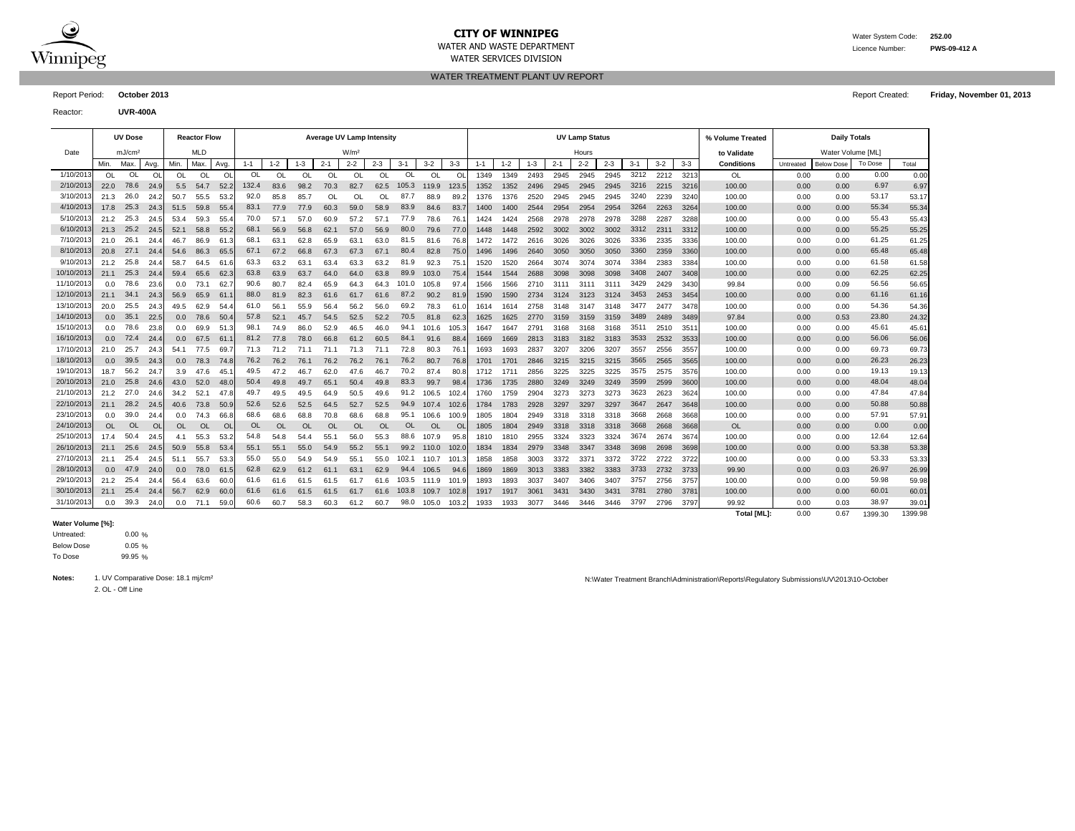

# **CITY OF WINNIPEG** WATER MATER WATER System Code: 252.00

WATER SERVICES DIVISION

WATER AND WASTE DEPARTMENT Licence Number: **PWS-09-412 A**

WATER TREATMENT PLANT UV REPORT

Reactor: **UVR-400A**

|            |      | <b>UV Dose</b>     |              |           | <b>Reactor Flow</b> |               |         |           |           | <b>Average UV Lamp Intensity</b> |                  |           |           |           |           |         |         |         |         | <b>UV Lamp Status</b> |         |       |         |         | % Volume Treated |           | <b>Daily Totals</b> |         |       |
|------------|------|--------------------|--------------|-----------|---------------------|---------------|---------|-----------|-----------|----------------------------------|------------------|-----------|-----------|-----------|-----------|---------|---------|---------|---------|-----------------------|---------|-------|---------|---------|------------------|-----------|---------------------|---------|-------|
| Date       |      | mJ/cm <sup>2</sup> |              |           | <b>MLD</b>          |               |         |           |           |                                  | W/m <sup>2</sup> |           |           |           |           |         |         |         |         | Hours                 |         |       |         |         | to Validate      |           | Water Volume [ML]   |         |       |
|            | Min. | Max.               | Avg.         | Min.      | Max.                | Avg.          | $1 - 1$ | $1 - 2$   | $1 - 3$   | $2 - 1$                          | $2 - 2$          | $2 - 3$   | $3 - 1$   | $3 - 2$   | $3 - 3$   | $1 - 1$ | $1 - 2$ | $1 - 3$ | $2 - 1$ | $2 - 2$               | $2 - 3$ | $3-1$ | $3 - 2$ | $3 - 3$ | Conditions       | Untreated | <b>Below Dose</b>   | To Dose | Total |
| 1/10/2013  | 0L   | OL                 | O            | OL        | OL                  | $\circ$       | 0L      | OL        | OL        | OL                               | <b>OL</b>        | <b>OL</b> | OL        | OL        | O         | 1349    | 1349    | 2493    | 2945    | 2945                  | 2945    | 3212  | 2212    | 3213    | OL               | 0.00      | 0.00                | 0.00    | 0.00  |
| 2/10/2013  | 22.0 | 78.6               | 24.9         | 5.5       | 54.7                | 52.2          | 132.4   | 83.6      | 98.2      | 70.3                             | 82.7             | 62.5      | 105.3     | 119.9     | 123.5     | 1352    | 1352    | 2496    | 2945    | 2945                  | 2945    | 3216  | 2215    | 3216    | 100.00           | 0.00      | 0.00                | 6.97    | 6.97  |
| 3/10/201   | 21.3 | 26.0               | 24.2         | 50.7      | 55.5                | 53.           | 92.0    | 85.8      | 85.7      | OL                               | OL               | OL        | 87.7      | 88.9      | 89.       | 1376    | 1376    | 2520    | 2945    | 2945                  | 2945    | 3240  | 2239    | 3240    | 100.00           | 0.00      | 0.00                | 53.17   | 53.17 |
| 4/10/201   | 17.8 | 25.3               | 24.3         | 51.5      | 59.8                | 55.5          | 83.1    | 77.9      | 77.9      | 60.3                             | 59.0             | 58.9      | 83.9      | 84.6      | 83.       | 1400    | 1400    | 2544    | 2954    | 2954                  | 2954    | 3264  | 2263    | 3264    | 100.00           | 0.00      | 0.00                | 55.34   | 55.34 |
| 5/10/2013  | 21.2 | 25.3               | 24.5         | 53.4      | 59.3                | 55.           | 70.0    | 57.1      | 57.0      | 60.9                             | 57.2             | 57.1      | 77.9      | 78.6      | 76.       | 1424    | 1424    | 2568    | 2978    | 2978                  | 2978    | 3288  | 2287    | 3288    | 100.00           | 0.00      | 0.00                | 55.43   | 55.43 |
| 6/10/2013  | 21.3 | 25.2               | 24.5         | 52.1      | 58.8                | 55.2          | 68.1    | 56.9      | 56.8      | 62.1                             | 57.0             | 56.9      | 80.0      | 79.6      | 77.0      | 1448    | 1448    | 2592    | 3002    | 3002                  | 3002    | 3312  | 2311    | 3312    | 100.00           | 0.00      | 0.00                | 55.25   | 55.25 |
| 7/10/2013  | 21.0 | 26.1               | 24.4         | 46.7      | 86.9                | 61.3          | 68.1    | 63.1      | 62.8      | 65.9                             | 63.1             | 63.0      | 81.5      | 81.6      | 76.8      | 1472    | 1472    | 2616    | 3026    | 3026                  | 3026    | 3336  | 2335    | 3336    | 100.00           | 0.00      | 0.00                | 61.25   | 61.25 |
| 8/10/2013  | 20.8 | 27.1               | 24.4         | 54.6      | 86.3                | 65.5          | 67.1    | 67.2      | 66.8      | 67.3                             | 67.3             | 67.1      | 80.4      | 82.8      | 75.0      | 1496    | 1496    | 2640    | 3050    | 3050                  | 3050    | 3360  | 2359    | 3360    | 100.00           | 0.00      | 0.00                | 65.48   | 65.48 |
| 9/10/2013  | 21.2 | 25.8               | 24.4         | 58.7      | 64.5                | 61.6          | 63.3    | 63.2      | 63.1      | 63.4                             | 63.3             | 63.2      | 81.9      | 92.3      | 75.       | 1520    | 1520    | 2664    | 3074    | 3074                  | 3074    | 3384  | 2383    | 3384    | 100.00           | 0.00      | 0.00                | 61.58   | 61.58 |
| 10/10/2013 | 21.1 | 25.3               | 24.4         | 59.4      | 65.6                | 62.3          | 63.8    | 63.9      | 63.7      | 64.0                             | 64.0             | 63.8      | 89.9      | 103.0     | 75.4      | 1544    | 1544    | 2688    | 3098    | 3098                  | 3098    | 3408  | 2407    | 3408    | 100.00           | 0.00      | 0.00                | 62.25   | 62.25 |
| 11/10/2013 | 0.0  | 78.6               | 23.6         | 0.0       | 73.1                | 62.           | 90.6    | 80.7      | 82.4      | 65.9                             | 64.3             | 64.3      | 101.0     | 105.8     | 97.       | 1566    | 1566    | 2710    | 3111    | 3111                  | 3111    | 3429  | 2429    | 3430    | 99.84            | 0.00      | 0.09                | 56.56   | 56.65 |
| 12/10/2013 | 21.1 | 34.1               | 24.3         | 56.9      | 65.9                | 61            | 88.0    | 81.9      | 82.3      | 61.6                             | 61.7             | 61.6      | 87.2      | 90.2      | 81.9      | 1590    | 1590    | 2734    | 3124    | 3123                  | 3124    | 3453  | 2453    | 3454    | 100.00           | 0.00      | 0.00                | 61.16   | 61.16 |
| 13/10/2013 | 20.0 | 25.5               | 24.3         | 49.5      | 62.9                | 54.           | 61.0    | 56.1      | 55.9      | 56.4                             | 56.2             | 56.0      | 69.2      | 78.3      | 61.       | 1614    | 1614    | 2758    | 3148    | 3147                  | 3148    | 3477  | 2477    | 3478    | 100.00           | 0.00      | 0.00                | 54.36   | 54.36 |
| 14/10/2013 | 0.0  | 35.1               | 22.5         | 0.0       | 78.6                | 50.4          | 57.8    | 52.1      | 45.7      | 54.5                             | 52.5             | 52.2      | 70.5      | 81.8      | 62.3      | 1625    | 1625    | 2770    | 3159    | 3159                  | 3159    | 3489  | 2489    | 3489    | 97.84            | 0.00      | 0.53                | 23.80   | 24.32 |
| 15/10/2013 | 0.0  | 78.6               | 23.8         | 0.0       | 69.9                | 51.           | 98.1    | 74.9      | 86.0      | 52.9                             | 46.5             | 46.0      | 94.1      | 101.6     | 105.3     | 1647    | 1647    | 279'    | 3168    | 3168                  | 3168    | 3511  | 2510    | 351'    | 100.00           | 0.00      | 0.00                | 45.61   | 45.61 |
| 16/10/2013 | 0.0  | 72.4               | 24.4         | 0.0       | 67.5                | -61           | 81.2    | 77.8      | 78.0      | 66.8                             | 61.2             | 60.5      | 84.1      | 91.6      | 88.4      | 1669    | 1669    | 2813    | 3183    | 3182                  | 3183    | 3533  | 2532    | 3533    | 100.00           | 0.00      | 0.00                | 56.06   | 56.06 |
| 17/10/2013 | 21.0 | 25.7               | 24.3         | 54.1      | 77.5                | 69.           | 71.3    | 71.2      | 71.1      | 71.1                             | 71.3             | 71.1      | 72.8      | 80.3      | 76.       | 1693    | 1693    | 2837    | 3207    | 3206                  | 3207    | 3557  | 2556    | 3557    | 100.00           | 0.00      | 0.00                | 69.73   | 69.73 |
| 18/10/2013 | 0.0  | 39.5               | 24.3         | 0.0       | 78.3                | 74.8          | 76.2    | 76.2      | 76.1      | 76.2                             | 76.2             | 76.1      | 76.2      | 80.7      | 76.8      | 1701    | 1701    | 2846    | 3215    | 3215                  | 3215    | 3565  | 2565    | 3565    | 100.00           | 0.00      | 0.00                | 26.23   | 26.23 |
| 19/10/2013 | 18.7 | 56.2               | 24.7         | 3.9       | 47.6                | 45.           | 49.5    | 47.2      | 46.7      | 62.0                             | 47.6             | 46.7      | 70.2      | 87.4      | 80.       | 1712    | 1711    | 2856    | 3225    | 3225                  | 3225    | 3575  | 2575    | 3576    | 100.00           | 0.00      | 0.00                | 19.13   | 19.13 |
| 20/10/2013 | 21.0 | 25.8               | 24.6         | 43.0      | 52.0                | 48.0          | 50.4    | 49.8      | 49.7      | 65.1                             | 50.4             | 49.8      | 83.3      | 99.7      | 98.       | 1736    | 1735    | 2880    | 3249    | 3249                  | 3249    | 3599  | 2599    | 3600    | 100.00           | 0.00      | 0.00                | 48.04   | 48.04 |
| 21/10/201  | 21.2 | - 27.0             | 24.6         | 34.2      | 52.1                | 47.           | 49.7    | 49.5      | 49.5      | 64.9                             | 50.5             | 49.6      | 91.2      | 106.5     | 102.      | 1760    | 1759    | 2904    | 3273    | 3273                  | 3273    | 3623  | 2623    | 3624    | 100.00           | 0.00      | 0.00                | 47.84   | 47.84 |
| 22/10/2013 | 21.1 | 28.2               | -24.         | 40.6      | 73.8                | 50.9          | 52.6    | 52.6      | 52.5      | 64.5                             | 52.7             | 52.5      | 94.9      | 107.4     | 102.6     | 1784    | 1783    | 2928    | 3297    | 3297                  | 3297    | 3647  | 2647    | 3648    | 100.00           | 0.00      | 0.00                | 50.88   | 50.88 |
| 23/10/2013 | 0.0  | 39.0               | 24.4         | 0.0       | 74.3                | 66.           | 68.6    | 68.6      | 68.8      | 70.8                             | 68.6             | 68.8      | 95.1      | 106.6     | 100.9     | 1805    | 1804    | 2949    | 3318    | 3318                  | 3318    | 3668  | 2668    | 3668    | 100.00           | 0.00      | 0.00                | 57.91   | 57.91 |
| 24/10/2013 | OL   | <b>OL</b>          | <sup>O</sup> | <b>OL</b> | <b>OL</b>           | <sup>Ol</sup> | 0L      | <b>OL</b> | <b>OL</b> | <b>OL</b>                        | <b>OL</b>        | <b>OL</b> | <b>OL</b> | <b>OL</b> | <b>OL</b> | 1805    | 1804    | 2949    | 3318    | 3318                  | 3318    | 3668  | 2668    | 3668    | <b>OL</b>        | 0.00      | 0.00                | 0.00    | 0.00  |
| 25/10/2013 | 17.4 | 50.4               | 24.5         | 4.1       | 55.3                | 53.2          | 54.8    | 54.8      | 54.4      | 55.1                             | 56.0             | 55.3      | 88.6      | 107.9     | 95.8      | 1810    | 1810    | 2955    | 3324    | 3323                  | 3324    | 3674  | 2674    | 3674    | 100.00           | 0.00      | 0.00                | 12.64   | 12.64 |
| 26/10/2013 | 21.1 | 25.6               | 24.5         | 50.9      | 55.8                | 53.4          | 55.1    | 55.1      | 55.0      | 54.9                             | 55.2             | 55.1      | 99.2      | 110.0     | 102.0     | 1834    | 1834    | 2979    | 3348    | 3347                  | 3348    | 3698  | 2698    | 3698    | 100.00           | 0.00      | 0.00                | 53.38   | 53.38 |
| 27/10/2013 | 21.1 | 25.4               | 24.5         | 51.1      | 55.7                | 53.3          | 55.0    | 55.0      | 54.9      | 54.9                             | 55.1             | 55.0      | 102.1     | 110.7     | 101.3     | 1858    | 1858    | 3003    | 3372    | 3371                  | 3372    | 3722  | 2722    | 3722    | 100.00           | 0.00      | 0.00                | 53.33   | 53.33 |
| 28/10/2013 | 0.0  | 47.9               | 24.0         | 0.0       | 78.0                | 61.5          | 62.8    | 62.9      | 61.2      | 61.1                             | 63.1             | 62.9      | 94.4      | 106.5     | 94.6      | 1869    | 1869    | 3013    | 3383    | 3382                  | 3383    | 3733  | 2732    | 3733    | 99.90            | 0.00      | 0.03                | 26.97   | 26.99 |
| 29/10/2013 | 21.2 | 25.4               | 24.          | 56.4      | 63.6                | 60.           | 61.6    | 61.6      | 61.5      | 61.5                             | 61.7             | 61.6      | 103.5     | 111.9     | 101.9     | 1893    | 1893    | 3037    | 3407    | 3406                  | 3407    | 3757  | 2756    | 3757    | 100.00           | 0.00      | 0.00                | 59.98   | 59.98 |
| 30/10/2013 | 21.1 | 25.4               | 24.4         | 56.7      | 62.9                | 60.           | 61.6    | 61.6      | 61.5      | 61.5                             | 61.7             | 61.6      | 103.8     | 109.7     | 102.3     | 1917    | 1917    | 3061    | 3431    | 3430                  | 3431    | 3781  | 2780    | 3781    | 100.00           | 0.00      | 0.00                | 60.01   | 60.01 |
| 31/10/2013 | 0.0  | 39.3               | 24.0         | 0.0       | 71.1                | 59.0          | 60.6    | 60.7      | 58.3      | 60.3                             | 61.2             | 60.7      | 98.0      | 105.0     | 103.2     | 1933    | 1933    | 3077    | 3446    | 3446                  | 3446    | 3797  | 2796    | 3797    | 99.92            | 0.00      | 0.03                | 38.97   | 39.01 |

#### **Water Volume [%]:**

0.00 %  $0.05 \%$ 99.95 % To Dose Below Dose Untreated:

2. OL - Off Line

Notes: 1. UV Comparative Dose: 18.1 mj/cm<sup>2</sup> and the Ministration Reports Network of Treatment Branch\Administration\Reports\Regulatory Submissions\UV\2013\10-October

**Total [ML]:** 0.00 0.67 1399.98 1399.30

Report Period: **October 2013** Report Created: **Friday, November 01, 2013**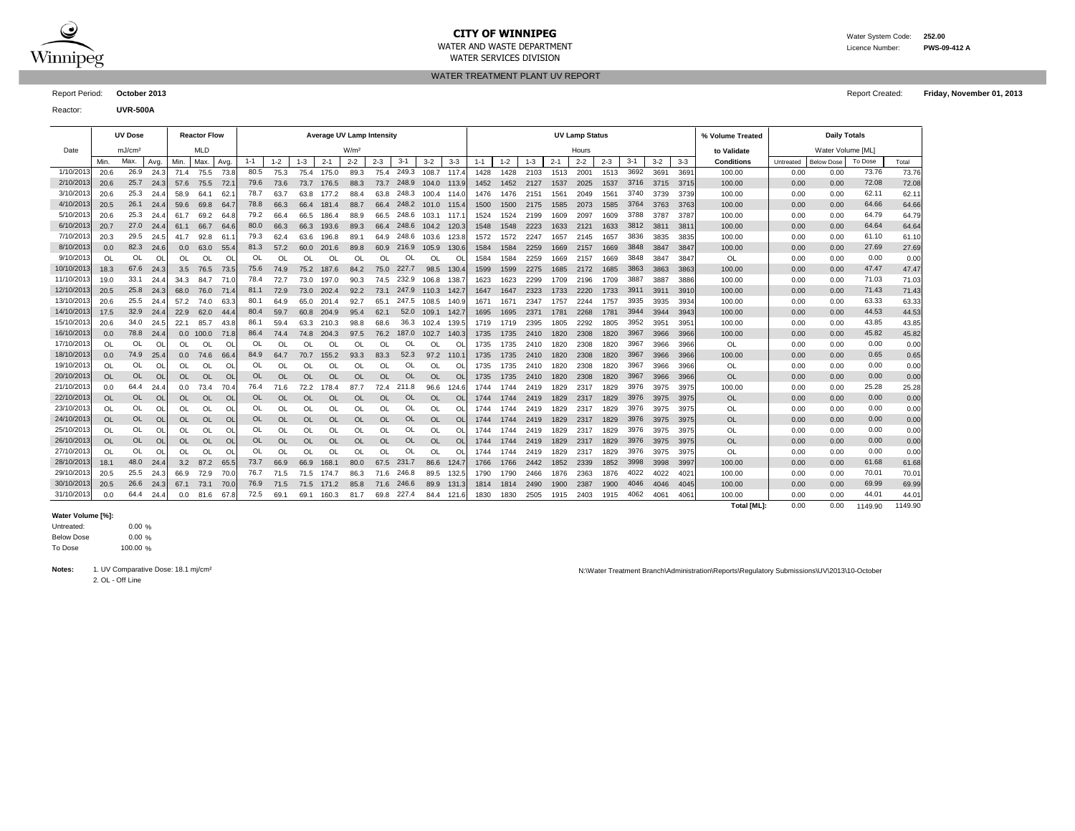

# **CITY OF WINNIPEG** WATER WATER System Code: 252.00

WATER SERVICES DIVISION

WATER AND WASTE DEPARTMENT **EXECUTE A SET A CONSUMING THE CONSUMING CONSUMING THE RWS-09-412 A** 

WATER TREATMENT PLANT UV REPORT

Report Period: **October 2013** Report Created: **Friday, November 01, 2013**

Reactor: **UVR-500A**

|            | <b>UV Dose</b> |                    |           |           | <b>Reactor Flow</b> |      |               | Average UV Lamp Intensity |           |           |                  |               |            |            |           | <b>UV Lamp Status</b> |         |         |         |         |         |         |       |       | % Volume Treated | <b>Daily Totals</b> |                   |         |       |
|------------|----------------|--------------------|-----------|-----------|---------------------|------|---------------|---------------------------|-----------|-----------|------------------|---------------|------------|------------|-----------|-----------------------|---------|---------|---------|---------|---------|---------|-------|-------|------------------|---------------------|-------------------|---------|-------|
| Date       |                | mJ/cm <sup>2</sup> |           |           | <b>MLD</b>          |      |               |                           |           |           | W/m <sup>2</sup> |               |            |            |           |                       |         |         |         | Hours   |         |         |       |       | to Validate      |                     | Water Volume [ML] |         |       |
|            | Min.           | Max.               | Avg.      | Min.      | Max.                | Avg. | $1 - 1$       | $1 - 2$                   | $1 - 3$   | $2 - 1$   | $2 - 2$          | $2 - 3$       | $3 - 1$    | $3 - 2$    | $3 - 3$   | $1 - 1$               | $1 - 2$ | $1 - 3$ | $2 - 1$ | $2 - 2$ | $2 - 3$ | $3 - 1$ | $3-2$ | $3-3$ | Conditions       | Untreated           | <b>Below Dose</b> | To Dose | Total |
| 1/10/201   | 20.6           | 26.9               | 24.3      | 71.4      | 75.5                | 73.8 | 80.5          | 75.3                      | 75.4      | 175.0     | 89.3             | 75.4          | 249.3      | 108.7      | 117       | 1428                  | 1428    | 2103    | 1513    | 2001    | 1513    | 3692    | 3691  | 369'  | 100.00           | 0.00                | 0.00              | 73.76   | 73.76 |
| 2/10/201   | 20.6           | 25.7               | 24.3      | 57.6      | 75.5                | 72.  | 79.6          | 73.6                      | 73.7      | 176.5     | 88.3             | 73.7          | 248.9      | 104.0      | $-113.$   | 1452                  | 1452    | 2127    | 1537    | 2025    | 1537    | 3716    | 3715  | 3715  | 100.00           | 0.00                | 0.00              | 72.08   | 72.08 |
| 3/10/201   | 20.6           | 25.3               | 24.4      | 58.9      | 64.1                | 62.  | 78.           | 63.7                      | 63.8      | 177.2     | 88.4             | 63.8          | 248.3      | 100.4      | - 114.    | 1476                  | 1476    | 2151    | 1561    | 2049    | 1561    | 3740    | 3739  | 3739  | 100.00           | 0.00                | 0.00              | 62.11   | 62.11 |
| 4/10/2013  | 20.5           | 26.1               | 24.       | 59.6      | 69.8                | 64.  | 78.8          | 66.3                      | 66.4      | 181.4     | 88.7             | 66.4          | 248.2      | 101.0 115. |           | 1500                  | 1500    | 2175    | 1585    | 2073    | 1585    | 3764    | 3763  | 3763  | 100.00           | 0.00                | 0.00              | 64.66   | 64.66 |
| 5/10/201   | 20.6           | 25.3               | 24.4      | 61.7      | 69.2                | 64.  | 79.2          | 66.4                      | 66.5      | 186.4     | 88.9             | 66.5          | 248.6      | 103.1      | - 117.    | 1524                  | 1524    | 2199    | 1609    | 2097    | 1609    | 3788    | 3787  | 3787  | 100.00           | 0.00                | 0.00              | 64.79   | 64.79 |
| 6/10/201   | 20.7           | 27.0               | 24.4      | 61.1      | 66.7                | 64.6 | 80.0          | 66.3                      | 66.3      | 193.6     | 89.3             | 66.4          | 248.6      | 104.2 120. |           | 1548                  | 1548    | 2223    | 1633    | 2121    | 1633    | 3812    | 3811  | 381'  | 100.00           | 0.00                | 0.00              | 64.64   | 64.64 |
| 7/10/2013  | 20.3           | 29.5               | 24.5      | 41.7      | 92.8                | 61.  | 79.3          | 62.4                      | 63.6      | 196.8     | 89.7             | 64.9          | 248.6      | 103.6      | 123.      | 1572                  | 1572    | 2247    | 1657    | 2145    | 1657    | 3836    | 3835  | 3835  | 100.00           | 0.00                | 0.00              | 61.10   | 61.10 |
| 8/10/2013  | 0.0            | 82.3               | 24.6      | 0.0       | 63.0                | 55.4 | 81.3          | 57.2                      | 60.0      | 201.6     | 89.8             | 60.9          | 216.9      | 105.9      | 130.6     | 1584                  | 1584    | 2259    | 1669    | 2157    | 1669    | 3848    | 3847  | 3847  | 100.00           | 0.00                | 0.00              | 27.69   | 27.69 |
| 9/10/2013  | OL             | OL                 | O         | OL        | OL                  | OL   | 0L            | $\Omega$                  | OL        | OL        | OL               | <sup>OL</sup> | OL         | OL         | O         | 1584                  | 1584    | 2259    | 1669    | 2157    | 1669    | 3848    | 3847  | 3847  | OL               | 0.00                | 0.00              | 0.00    | 0.00  |
| 10/10/2013 | 18.3           | 67.6               | 24.3      | 3.5       | 76.5                | 73.5 | 75.6          | 74.9                      | 75.2      | 187.6     | 84.2             | 75.0          | 227.7      | 98.5       | 130.      | 1599                  | 1599    | 2275    | 1685    | 2172    | 1685    | 3863    | 3863  | 3863  | 100.00           | 0.00                | 0.00              | 47.47   | 47.47 |
| 11/10/2013 | 19.0           | 33.1               | 24.4      | 34.3      | 84.7                | 71.0 | 78.4          | 72.7                      | 73.0      | 197.0     | 90.3             | 74.5          | 232.9      | 106.8      | 138.      | 1623                  | 1623    | 2299    | 1709    | 2196    | 1709    | 3887    | 3887  | 3886  | 100.00           | 0.00                | 0.00              | 71.03   | 71.03 |
| 12/10/2013 | 20.5           | 25.8               | 24.3      | 68.0      | 76.0                | 71.  | 81.1          | 72.9                      | 73.0      | 202.4     | 92.2             | 73.1          | 247.9      | 110.3      | 142.      | 1647                  | 1647    | 2323    | 1733    | 2220    | 1733    | 3911    | 3911  | 3910  | 100.00           | 0.00                | 0.00              | 71.43   | 71.43 |
| 13/10/201  | 20.6           | 25.5               | 24.4      | 57.2      | 74.0                | 63.  | 80.           | 64.9                      | 65.0      | 201.4     | 92.7             | 65.1          | 247.5      | 108.5      | 140.      | 1671                  | 167     | 2347    | 1757    | 2244    | 1757    | 3935    | 3935  | 3934  | 100.00           | 0.00                | 0.00              | 63.33   | 63.33 |
| 14/10/2013 | 17.5           | 32.9               | 24.4      | 22.9      | 62.0                | 44.  | 80.4          | 59.7                      | 60.8      | 204.9     | 95.4             | 62.1          | 52.0       | 109.1      | - 142.    | 1695                  | 1695    | 237'    | 1781    | 2268    | 1781    | 3944    | 3944  | 3943  | 100.00           | 0.00                | 0.00              | 44.53   | 44.53 |
| 15/10/2013 | 20.6           | 34.0               | 24.5      | 22.1      | 85.7                | 43.8 | 86.           | 59.4                      | 63.3      | 210.3     | 98.8             | 68.6          | 36.3       | 102.4      | 139.      | 1719                  | 1719    | 2395    | 1805    | 2292    | 1805    | 3952    | 3951  | 395'  | 100.00           | 0.00                | 0.00              | 43.85   | 43.85 |
| 16/10/2013 | 0.0            | 78.8               | 24.4      | 0.0       | 100.0               | 71.8 | 86.4          | 74.4                      | 74.8      | 204.3     | 97.5             | 76.2          | 187.0      | 102.7      | 140.3     | 1735                  | 1735    | 2410    | 1820    | 2308    | 1820    | 3967    | 3966  | 3966  | 100.00           | 0.00                | 0.00              | 45.82   | 45.82 |
| 17/10/2013 | <b>OL</b>      | <b>OL</b>          | O         | OL        | OL                  | O    | <sup>OL</sup> |                           | OL        | OL        | OL               | OL            | OL         | OL         | O         | 1735                  | 1735    | 2410    | 1820    | 2308    | 1820    | 3967    | 3966  | 3966  | OL               | 0.00                | 0.00              | 0.00    | 0.00  |
| 18/10/2013 | 0.0            | 74.9               | 25.4      | 0.0       | 74.6                | 66.  | 84.9          | 64.7                      | 70.7      | 155.2     | 93.3             | 83.3          | 52.3       | 97.2       | 110.      | 1735                  | 1735    | 2410    | 1820    | 2308    | 1820    | 3967    | 3966  | 3966  | 100.00           | 0.00                | 0.00              | 0.65    | 0.65  |
| 19/10/2013 | OL             | OL                 | O         | OL        | OL                  | O    | <b>OL</b>     | <b>OL</b>                 | OL        | OL        | OL               | OL            | OL         | OL         | ΩI        | 1735                  | 1735    | 2410    | 1820    | 2308    | 1820    | 3967    | 3966  | 3966  | OL               | 0.00                | 0.00              | 0.00    | 0.00  |
| 20/10/2013 | <b>OL</b>      | <b>OL</b>          | <b>OL</b> | OL        | <b>OL</b>           | OL   | <b>OL</b>     | $\Omega$                  | OL        | OL        | <b>OL</b>        | <b>OL</b>     | <b>OL</b>  | <b>OL</b>  | $\Omega$  | 1735                  | 1735    | 2410    | 1820    | 2308    | 1820    | 3967    | 3966  | 3966  | <b>OL</b>        | 0.00                | 0.00              | 0.00    | 0.00  |
| 21/10/201  | 0.0            | 64.4               | 24.       | 0.0       | 73.4                | 70.4 | 76.4          | 71.6                      | 72.2      | 178.4     | 87.7             | 72.4          | 21<br>1.8  | 96.6       | 124.0     | 1744                  | 1744    | 2419    | 1829    | 2317    | 1829    | 3976    | 3975  | 3975  | 100.00           | 0.00                | 0.00              | 25.28   | 25.28 |
| 22/10/2013 | <b>OL</b>      | <b>OL</b>          | <b>OL</b> | OL        | OL                  | OL   | <b>OL</b>     | $\Omega$                  | <b>OL</b> | OL        | OL               | OL            | <b>OL</b>  | <b>OL</b>  | OL        | 1744                  | 1744    | 2419    | 1829    | 2317    | 1829    | 3976    | 3975  | 3975  | <b>OL</b>        | 0.00                | 0.00              | 0.00    | 0.00  |
| 23/10/201  | OL             | OL                 | Ol        | OL        | OL                  | O    | OL            | <b>OL</b>                 | OL        | OL        | OL               | OL            | OL         | OL         | O         | 1744                  | 1744    | 2419    | 1829    | 2317    | 1829    | 3976    | 3975  | 3975  | OL               | 0.00                | 0.00              | 0.00    | 0.00  |
| 24/10/2013 | <b>OL</b>      | <b>OL</b>          | <b>OL</b> | <b>OL</b> | <b>OL</b>           | OL   | <b>OL</b>     | <b>OL</b>                 | <b>OL</b> | <b>OL</b> | OL               | <b>OL</b>     | <b>OL</b>  | <b>OL</b>  | <b>OL</b> | 1744                  | 1744    | 2419    | 1829    | 2317    | 1829    | 3976    | 3975  | 3975  | <b>OL</b>        | 0.00                | 0.00              | 0.00    | 0.00  |
| 25/10/2013 | OL             | OL                 | OL        | OL        | OL                  | OL   | OL            | $\Omega$                  | OL        | OL        | OL               | OL            | OL         | OL         | ΩI        | 1744                  | 1744    | 2419    | 1829    | 2317    | 1829    | 3976    | 3975  | 3975  | OL               | 0.00                | 0.00              | 0.00    | 0.00  |
| 26/10/2013 | <b>OL</b>      | <b>OL</b>          | OL        | <b>OL</b> | <b>OL</b>           | OL   | OL            | <b>OL</b>                 | <b>OL</b> | <b>OL</b> | OL               | <b>OL</b>     | <b>OL</b>  | <b>OL</b>  | <b>OL</b> | 1744                  | 1744    | 2419    | 1829    | 2317    | 1829    | 3976    | 3975  | 3975  | <b>OL</b>        | 0.00                | 0.00              | 0.00    | 0.00  |
| 27/10/2013 | OL             | <b>OL</b>          | O         | OL        | OL                  | OL   | 0L            | $\Omega$                  | OL        | OL        | OL               | <sup>OL</sup> | OL         | OL         | $\Omega$  | 1744                  | 1744    | 2419    | 1829    | 2317    | 1829    | 3976    | 3975  | 3975  | OL               | 0.00                | 0.00              | 0.00    | 0.00  |
| 28/10/2013 | 18.1           | 48.0               | 24.4      | 3.2       | 87.2                | 65.  | 73.7          | 66.9                      | 66.9      | 168.1     | 80.0             | 67.5          | 231.7      | 86.6       | 124.      | 1766                  | 1766    | 2442    | 1852    | 2339    | 1852    | 3998    | 3998  | 3997  | 100.00           | 0.00                | 0.00              | 61.68   | 61.68 |
| 29/10/2013 | 20.5           | 25.5               | 24.3      | 66.9      | 72.9                | 70.0 | 76.           | 71.5                      | 71.5      | 174.7     | 86.3             | 71.6          | 246.8      | 89.5       | 132.      | 1790                  | 1790    | 2466    | 1876    | 2363    | 1876    | 4022    | 4022  | 402'  | 100.00           | 0.00                | 0.00              | 70.01   | 70.01 |
| 30/10/2013 | 20.5           | 26.6               | 24.3      | 67.1      | 73.1                | 70.0 | 76.9          | 71.5                      | 71.5      | 171.2     | 85.8             | 71.6          | 246.6      | 89.9       | 131       | 1814                  | 1814    | 2490    | 1900    | 2387    | 1900    | 4046    | 4046  | 4045  | 100.00           | 0.00                | 0.00              | 69.99   | 69.99 |
| 31/10/2013 | 0.0            | 64.4               | 24.4      | 0.0       | 81.6                | 67.8 | 72.5          | 69.1                      | 69.1      | 160.3     | 81.7             |               | 69.8 227.4 | 84.4       | 121       | 1830                  | 1830    | 2505    | 1915    | 2403    | 1915    | 4062    | 4061  | 406'  | 100.00           | 0.00                | 0.00              | 44.01   | 44.01 |

### **Water Volume [%]:**

0.00 % 0.00 % 100.00 % To Dose Below Dose Untreated:

2. OL - Off Line

Notes: 1. UV Comparative Dose: 18.1 mj/cm<sup>2</sup> and the comparative Dose: 18.1 mj/cm<sup>2</sup> and the comparative Dose: 18.1 mj/cm<sup>2</sup> and the comparative Dose: 18.1 mj/cm<sup>2</sup> and the comparative Dose: 18.1 mj/cm<sup>2</sup> and the comparati

**Total [ML]:** 0.00 0.00 1149.90 1149.90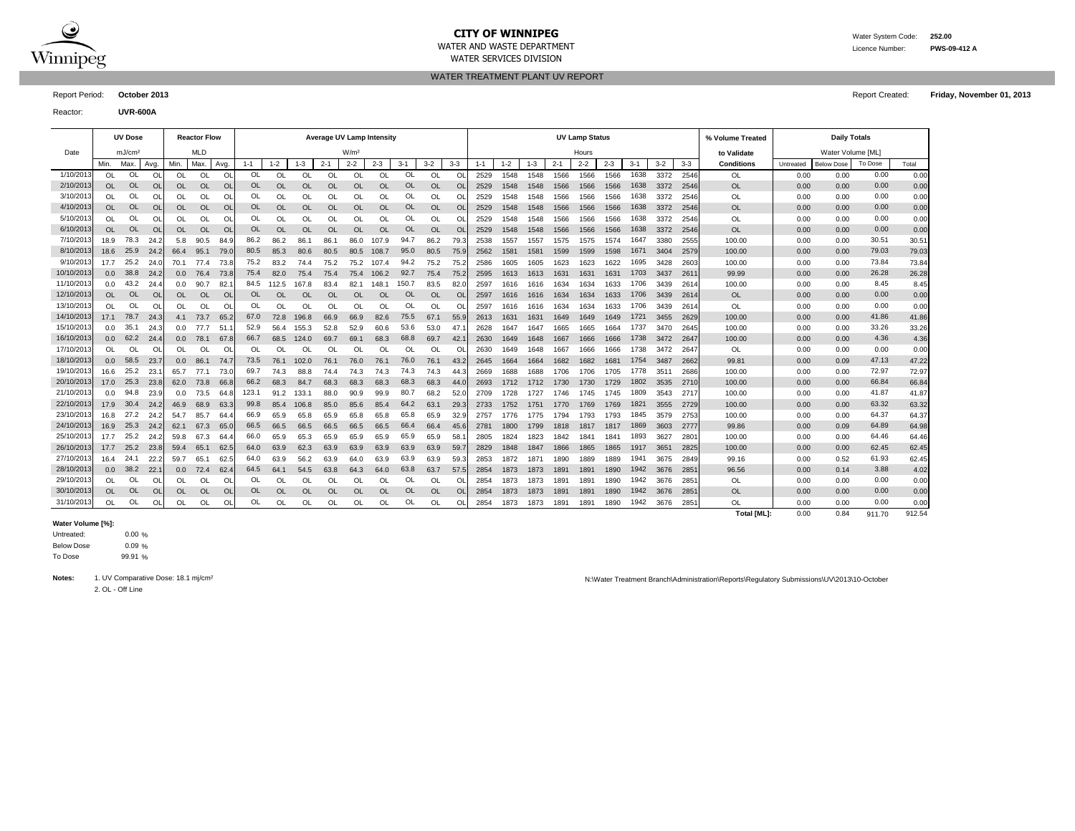

# **CITY OF WINNIPEG** WATER MATER WATER System Code: 252.00

WATER SERVICES DIVISION

WATER AND WASTE DEPARTMENT Licence Number: **PWS-09-412 A**

WATER TREATMENT PLANT UV REPORT

Reactor: **UVR-600A**

|            | <b>Average UV Lamp Intensity</b><br><b>UV Dose</b><br><b>Reactor Flow</b> |                    |                |                  |            |               |           |               |           | <b>UV Lamp Status</b> |                  |               |           |           |           |         |         |         | % Volume Treated |         | <b>Daily Totals</b> |         |         |               |                   |           |                   |         |       |
|------------|---------------------------------------------------------------------------|--------------------|----------------|------------------|------------|---------------|-----------|---------------|-----------|-----------------------|------------------|---------------|-----------|-----------|-----------|---------|---------|---------|------------------|---------|---------------------|---------|---------|---------------|-------------------|-----------|-------------------|---------|-------|
| Date       |                                                                           | mJ/cm <sup>2</sup> |                |                  | <b>MLD</b> |               |           |               |           |                       | W/m <sup>2</sup> |               |           |           |           |         |         |         |                  | Hours   |                     |         |         |               | to Validate       |           | Water Volume [ML] |         |       |
|            | Min.                                                                      | Max.               | Avg.           | Min.             | Max        | Avg.          | $1 - 1$   | $1 - 2$       | $1 - 3$   | $2 - 1$               | $2 - 2$          | $2 - 3$       | $3 - 1$   | $3-2$     | $3-3$     | $1 - 1$ | $1 - 2$ | $1 - 3$ | $2 - 1$          | $2 - 2$ | $2 - 3$             | $3 - 1$ | $3 - 2$ | $3 - 3$       | <b>Conditions</b> | Untreated | <b>Below Dose</b> | To Dose | Total |
| 1/10/2013  | 0L                                                                        | OL                 | O              | OL               | OL         | O             | 0L        | OL            | <b>OL</b> | O                     | OL               | <b>OL</b>     | OL        | O         | O         | 2529    | 1548    | 1548    | 1566             | 1566    | 1566                | 1638    | 3372    | 2546          | 0L                | 0.00      | 0.00              | 0.00    | 0.00  |
| 2/10/2013  | OL                                                                        | <b>OL</b>          | O <sub>l</sub> | OL               | <b>OL</b>  | <b>OL</b>     | <b>OL</b> | OL            | <b>OL</b> | OL                    | OL               | $\Omega$      | <b>OL</b> | <b>OL</b> | <b>Ol</b> | 2529    | 1548    | 1548    | 1566             | 1566    | 1566                | 1638    | 3372    | 2546          | <b>OL</b>         | 0.00      | 0.00              | 0.00    | 0.00  |
| 3/10/2013  | <b>OL</b>                                                                 | OL                 | O              | OL               | OL         | O             | OL        | OL            | OL        | OL                    | OL               | <b>OL</b>     | OL        | OL        | O         | 2529    | 1548    | 1548    | 1566             | 1566    | 1566                | 1638    | 3372    | 2546          | OL                | 0.00      | 0.00              | 0.00    | 0.00  |
| 4/10/2013  | <b>OL</b>                                                                 | <b>OL</b>          | O              | OL               | OL         | <b>OL</b>     | <b>OL</b> | <b>OL</b>     | <b>OL</b> | OL                    | <b>OL</b>        | $\Omega$      | <b>OL</b> | <b>OL</b> | O         | 2529    | 1548    | 1548    | 1566             | 1566    | 1566                | 1638    | 3372    | 2546          | <b>OL</b>         | 0.00      | 0.00              | 0.00    | 0.00  |
| 5/10/2013  | <b>OL</b>                                                                 | OL                 | O              | OL               | OL         | Ol            | OL        | <b>OL</b>     | OL        | OL                    | OL               | <b>OL</b>     | OL        | OL        | O         | 2529    | 1548    | 1548    | 1566             | 1566    | 1566                | 1638    | 3372    | 2546          | OL                | 0.00      | 0.00              | 0.00    | 0.00  |
| 6/10/2013  | <b>OL</b>                                                                 | <b>OL</b>          | $\overline{O}$ | <b>OL</b>        | <b>OL</b>  | <sup>Ol</sup> | OL        | <b>OL</b>     | <b>OL</b> | <b>OL</b>             | <b>OL</b>        | <b>OL</b>     | <b>OL</b> | <b>OL</b> | <b>Ol</b> | 2529    | 1548    | 1548    | 1566             | 1566    | 1566                | 1638    | 3372    | 2546          | <b>OL</b>         | 0.00      | 0.00              | 0.00    | 0.00  |
| 7/10/2013  | 18.9                                                                      | 78.3               | 24.2           | 5.8              | 90.5       | 84.9          | 86.2      | 86.2          | 86.1      | 86.1                  | 86.0             | 107.9         | 94.7      | 86.2      | 79.3      | 2538    | 1557    | 1557    | 1575             | 1575    | 1574                | 1647    | 3380    | 2555          | 100.00            | 0.00      | 0.00              | 30.51   | 30.51 |
| 8/10/2013  | 18.6                                                                      | 25.9               | 24.2           | 66.4             | 95.1       | 79.0          | 80.5      | 85.3          | 80.6      | 80.5                  | 80.5             | 108.7         | 95.0      | 80.5      | 75.9      | 2562    | 1581    | 1581    | 1599             | 1599    | 1598                | 1671    | 3404    | 2579          | 100.00            | 0.00      | 0.00              | 79.03   | 79.03 |
| 9/10/2013  | 17.7                                                                      | 25.2               | 24.0           | 70.1             | 77.4       | 73.           | 75.2      | 83.2          | 74.4      | 75.2                  | 75.2             | 107.4         | 94.2      | 75.2      | 75.       | 2586    | 1605    | 1605    | 1623             | 1623    | 1622                | 1695    | 3428    | 2603          | 100.00            | 0.00      | 0.00              | 73.84   | 73.84 |
| 10/10/2013 | 0.0                                                                       | 38.8               | 24.2           | 0.0              | 76.4       | 73.8          | 75.4      | 82.0          | 75.4      | 75.4                  | 75.4             | 106.2         | 92.7      | 75.4      | 75.       | 2595    | 1613    | 1613    | 1631             | 1631    | 1631                | 1703    | 3437    | 261'          | 99.99             | 0.00      | 0.00              | 26.28   | 26.28 |
| 11/10/2013 | 0.0                                                                       | 43.2               | 24.            | 0.0              | 90.7       | 82            | 84.5      | 112.5         | 167.8     | 83.4                  | 82.1             | 148.1         | 150.7     | 83.5      | 82.       | 2597    | 1616    | 1616    | 1634             | 1634    | 1633                | 1706    | 3439    | 2614          | 100.00            | 0.00      | 0.00              | 8.45    | 8.45  |
| 12/10/2013 | <b>OL</b>                                                                 | <b>OL</b>          | <b>OI</b>      | OL               | <b>OL</b>  | <b>OL</b>     | <b>OL</b> | <b>OL</b>     | OL        | OL                    | <b>OL</b>        | <b>OL</b>     | <b>OL</b> | OL        | $\circ$   | 2597    | 1616    | 1616    | 1634             | 1634    | 1633                | 1706    | 3439    | 261           | <b>OL</b>         | 0.00      | 0.00              | 0.00    | 0.00  |
| 13/10/2013 | <b>OL</b>                                                                 | OL                 | O              | OL               | OL         | O             | OL        | OL            | OL        | <b>OL</b>             | OL               | <b>OL</b>     | OL        | OL        | O         | 2597    | 1616    | 1616    | 1634             | 1634    | 1633                | 1706    | 3439    | 261           | OL                | 0.00      | 0.00              | 0.00    | 0.00  |
| 14/10/2013 | 17.1                                                                      | 78.7               | 24.3           | 4.1              | 73.7       | 65.2          | 67.0      | 72.8          | 196.8     | 66.9                  | 66.9             | 82.6          | 75.5      | 67.1      | 55.9      | 2613    | 1631    | 1631    | 1649             | 1649    | 1649                | 1721    | 3455    | 2629          | 100.00            | 0.00      | 0.00              | 41.86   | 41.86 |
| 15/10/2013 | 0.0                                                                       | 35.1               | 24.3           | 0.0              | 77.7       | 51            | 52.9      | 56.4          | 155.3     | 52.8                  | 52.9             | 60.6          | 53.6      | 53.0      | 47.       | 2628    | 1647    | 1647    | 1665             | 1665    | 1664                | 1737    | 3470    | 2645          | 100.00            | 0.00      | 0.00              | 33.26   | 33.26 |
| 16/10/2013 | 0.0                                                                       | 62.2               | 24.4           | 0.0              | 78.1       | 67.8          | 66.7      | 68.5          | 124.0     | 69.7                  | 69.1             | 68.3          | 68.8      | 69.7      | 42.       | 2630    | 1649    | 1648    | 1667             | 1666    | 1666                | 1738    | 3472    | 2647          | 100.00            | 0.00      | 0.00              | 4.36    | 4.36  |
| 17/10/2013 | OL                                                                        | OL                 | Ω              | OL               | 0l         | O             | OL        | <sup>OL</sup> | OL        | Ol                    | OL               | OL            | OL        | O         | Ω         | 2630    | 1649    | 1648    | 1667             | 1666    | 1666                | 1738    | 3472    | 264           | OL                | 0.00      | 0.00              | 0.00    | 0.00  |
| 18/10/2013 | 0.0                                                                       | 58.5               | 23.7           | 0.0              | 86.1       | 74.           | 73.5      | 76.1          | 102.0     | 76.1                  | 76.0             | 76.1          | 76.0      | 76.1      | 43.3      | 2645    | 1664    | 1664    | 1682             | 1682    | 1681                | 1754    | 3487    | 2662          | 99.81             | 0.00      | 0.09              | 47.13   | 47.22 |
| 19/10/2013 | 16.6                                                                      | 25.2               | -23.           | 65.7             | 77.1       | 73.           | 69.7      | 74.3          | 88.8      | 74.4                  | 74.3             | 74.3          | 74.3      | 74.3      | 44.3      | 2669    | 1688    | 1688    | 1706             | 1706    | 1705                | 1778    | 351'    | 2686          | 100.00            | 0.00      | 0.00              | 72.97   | 72.97 |
| 20/10/2013 | 17.0                                                                      | 25.3               | 23.8           | 62.0             | 73.8       | 66.8          | 66.2      | 68.3          | 84.7      | 68.3                  | 68.3             | 68.3          | 68.3      | 68.3      | 44.       | 2693    | 1712    | 1712    | 1730             | 1730    | 1729                | 1802    | 3535    | 2710          | 100.00            | 0.00      | 0.00              | 66.84   | 66.84 |
| 21/10/201  | 0.0                                                                       | 94.8               | 23.9           | 0.0              | 73.5       | 64.           | 123.1     | 91.2          | 133.1     | 88.0                  | 90.9             | 99.9          | 80.7      | 68.2      | 52.       | 2709    | 1728    | 1727    | 1746             | 1745    | 1745                | 1809    | 3543    | 271           | 100.00            | 0.00      | 0.00              | 41.87   | 41.87 |
| 22/10/201  | 17.9                                                                      | 30.4               | 24.2           | 46.9             | 68.9       | 63.           | 99.8      | 85.4          | 106.8     | 85.0                  | 85.6             | 85.4          | 64.2      | 63.1      | 29.3      | 2733    | 1752    | 1751    | 1770             | 1769    | 1769                | 1821    | 3555    | 2729          | 100.00            | 0.00      | 0.00              | 63.32   | 63.32 |
| 23/10/2013 | 16.8                                                                      | 27.2               | 24.2           | 54.7             | 85.7       | 64.           | 66.9      | 65.9          | 65.8      | 65.9                  | 65.8             | 65.8          | 65.8      | 65.9      | 32.9      | 2757    | 1776    | 1775    | 1794             | 1793    | 1793                | 1845    | 3579    | 2753          | 100.00            | 0.00      | 0.00              | 64.37   | 64.37 |
| 24/10/2013 | 16.9                                                                      | 25.3               | 24.2           | 62.1             | 67.3       | 65.0          | 66.5      | 66.5          | 66.5      | 66.5                  | 66.5             | 66.5          | 66.4      | 66.4      | 45.6      | 2781    | 1800    | 1799    | 1818             | 1817    | 1817                | 1869    | 3603    | 2777          | 99.86             | 0.00      | 0.09              | 64.89   | 64.98 |
| 25/10/2013 | 17.7                                                                      | 25.2               | 24.2           | 59.8             | 67.3       | 64.           | 66.0      | 65.9          | 65.3      | 65.9                  | 65.9             | 65.9          | 65.9      | 65.9      | 58.       | 2805    | 1824    | 1823    | 1842             | 1841    | 1841                | 1893    | 3627    | $280^{\circ}$ | 100.00            | 0.00      | 0.00              | 64.46   | 64.46 |
| 26/10/2013 | 17.7                                                                      | 25.2               | 23.8           | 59.4             | 65.1       | 62.5          | 64.0      | 63.9          | 62.3      | 63.9                  | 63.9             | 63.9          | 63.9      | 63.9      | 59.       | 2829    | 1848    | 1847    | 1866             | 1865    | 1865                | 1917    | 3651    | 2825          | 100.00            | 0.00      | 0.00              | 62.45   | 62.45 |
| 27/10/2013 | 16.4                                                                      | 24.1               | 22.2           | 59.7             | 65.1       | 62.           | 64.0      | 63.9          | 56.2      | 63.9                  | 64.0             | 63.9          | 63.9      | 63.9      | 59.       | 2853    | 1872    | 187'    | 1890             | 1889    | 1889                | 1941    | 3675    | 2849          | 99.16             | 0.00      | 0.52              | 61.93   | 62.45 |
| 28/10/2013 | 0.0                                                                       | 38.2               | 22.            | 0.0 <sub>1</sub> | 72.4       | 62.           | 64.5      | 64.1          | 54.5      | 63.8                  | 64.3             | 64.0          | 63.8      | 63.7      | 57.       | 2854    | 1873    | 1873    | 1891             | 1891    | 1890                | 1942    | 3676    | 285'          | 96.56             | 0.00      | 0.14              | 3.88    | 4.02  |
| 29/10/2013 | $\Omega$                                                                  | OL                 | O              | OL               | OL         | $\circ$       | OL        | OL            | OL        | OL                    | OL               | <sup>OL</sup> | OL        | OL        | Ω         | 2854    | 1873    | 1873    | 1891             | 1891    | 1890                | 1942    | 3676    | 285           | <b>OL</b>         | 0.00      | 0.00              | 0.00    | 0.00  |
| 30/10/2013 | <b>OL</b>                                                                 | <b>OL</b>          | $\circ$        | OL               | <b>OL</b>  | <b>OL</b>     | <b>OL</b> | <b>OL</b>     | <b>OL</b> | OL                    | <b>OL</b>        | <b>OL</b>     | <b>OL</b> | <b>OL</b> | $\Omega$  | 2854    | 1873    | 1873    | 1891             | 1891    | 1890                | 1942    | 3676    | 285           | <b>OL</b>         | 0.00      | 0.00              | 0.00    | 0.00  |
| 31/10/2013 | <b>OL</b>                                                                 | OL                 | O              | OL               | OL         | <b>OL</b>     | OL        | OL            | OL        | OL                    | <b>OL</b>        | <b>OL</b>     | OL        | OL        | O         | 2854    | 1873    | 1873    | 1891             | 1891    | 1890                | 1942    | 3676    | 285           | OL                | 0.00      | 0.00              | 0.00    | 0.00  |

#### **Water Volume [%]:**

0.00 % 0.09 % 99.91 % To Dose Below Dose Untreated:

2. OL - Off Line

Notes: 1. UV Comparative Dose: 18.1 mj/cm<sup>2</sup> and the Ministration Reports Network of Treatment Branch\Administration\Reports\Regulatory Submissions\UV\2013\10-October

**Total [ML]:** 0.00 0.84 911.70 912.54

Report Period: **October 2013** Report Created: **Friday, November 01, 2013**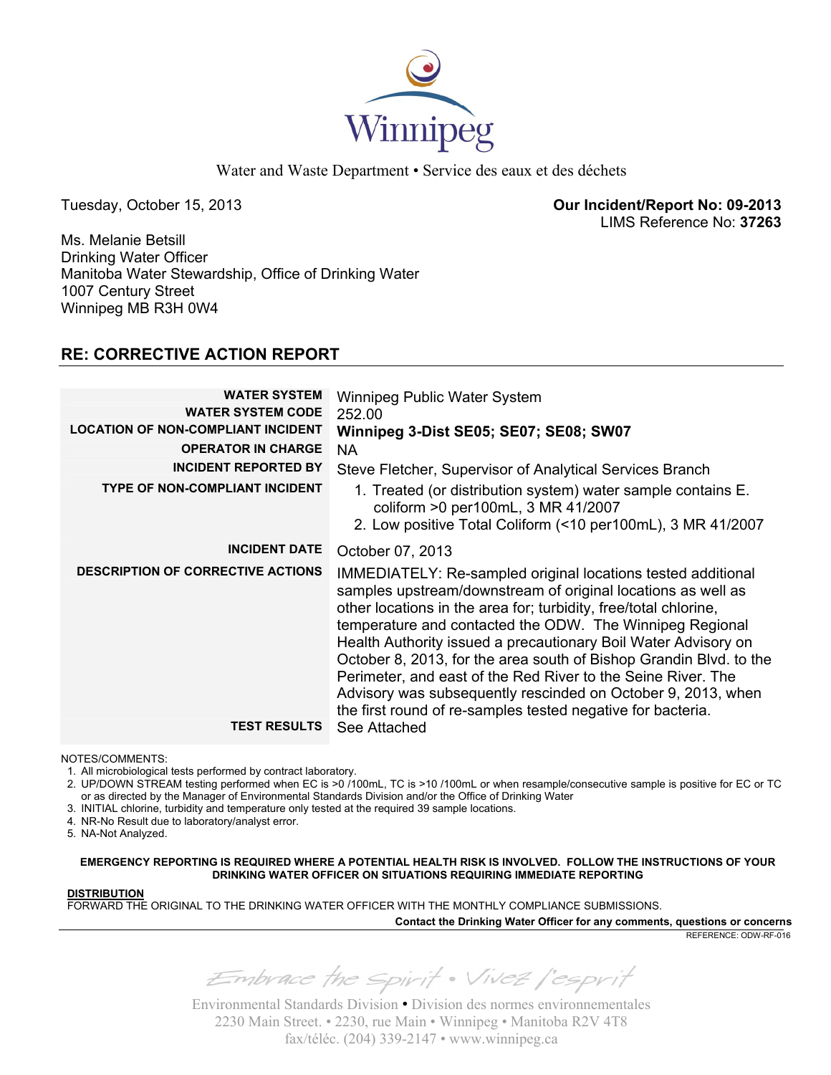

Water and Waste Department • Service des eaux et des déchets

Tuesday, October 15, 2013 **Our Incident/Report No: 09-2013**  LIMS Reference No: **37263**

Ms. Melanie Betsill Drinking Water Officer Manitoba Water Stewardship, Office of Drinking Water 1007 Century Street Winnipeg MB R3H 0W4

# **RE: CORRECTIVE ACTION REPORT**

| <b>WATER SYSTEM</b><br><b>WATER SYSTEM CODE</b><br><b>LOCATION OF NON-COMPLIANT INCIDENT</b> | Winnipeg Public Water System<br>252.00<br><b>Winnipeg 3-Dist SE05; SE07; SE08; SW07</b>                                                                                                                                                                                                                                                                                                                                                                                                                                                                                                             |
|----------------------------------------------------------------------------------------------|-----------------------------------------------------------------------------------------------------------------------------------------------------------------------------------------------------------------------------------------------------------------------------------------------------------------------------------------------------------------------------------------------------------------------------------------------------------------------------------------------------------------------------------------------------------------------------------------------------|
| <b>OPERATOR IN CHARGE</b>                                                                    | NA.                                                                                                                                                                                                                                                                                                                                                                                                                                                                                                                                                                                                 |
| <b>INCIDENT REPORTED BY</b>                                                                  | Steve Fletcher, Supervisor of Analytical Services Branch                                                                                                                                                                                                                                                                                                                                                                                                                                                                                                                                            |
| <b>TYPE OF NON-COMPLIANT INCIDENT</b>                                                        | 1. Treated (or distribution system) water sample contains E.<br>coliform >0 per100mL, 3 MR 41/2007<br>2. Low positive Total Coliform (<10 per100mL), 3 MR 41/2007                                                                                                                                                                                                                                                                                                                                                                                                                                   |
| <b>INCIDENT DATE</b>                                                                         | October 07, 2013                                                                                                                                                                                                                                                                                                                                                                                                                                                                                                                                                                                    |
| <b>DESCRIPTION OF CORRECTIVE ACTIONS</b>                                                     | IMMEDIATELY: Re-sampled original locations tested additional<br>samples upstream/downstream of original locations as well as<br>other locations in the area for; turbidity, free/total chlorine,<br>temperature and contacted the ODW. The Winnipeg Regional<br>Health Authority issued a precautionary Boil Water Advisory on<br>October 8, 2013, for the area south of Bishop Grandin Blvd. to the<br>Perimeter, and east of the Red River to the Seine River. The<br>Advisory was subsequently rescinded on October 9, 2013, when<br>the first round of re-samples tested negative for bacteria. |
| <b>TEST RESULTS</b>                                                                          | See Attached                                                                                                                                                                                                                                                                                                                                                                                                                                                                                                                                                                                        |

NOTES/COMMENTS:

1. All microbiological tests performed by contract laboratory.

2. UP/DOWN STREAM testing performed when EC is >0 /100mL, TC is >10 /100mL or when resample/consecutive sample is positive for EC or TC or as directed by the Manager of Environmental Standards Division and/or the Office of Drinking Water

3. INITIAL chlorine, turbidity and temperature only tested at the required 39 sample locations.

4. NR-No Result due to laboratory/analyst error.

5. NA-Not Analyzed.

**EMERGENCY REPORTING IS REQUIRED WHERE A POTENTIAL HEALTH RISK IS INVOLVED. FOLLOW THE INSTRUCTIONS OF YOUR DRINKING WATER OFFICER ON SITUATIONS REQUIRING IMMEDIATE REPORTING**

## **DISTRIBUTION**

FORWARD THE ORIGINAL TO THE DRINKING WATER OFFICER WITH THE MONTHLY COMPLIANCE SUBMISSIONS.

**Contact the Drinking Water Officer for any comments, questions or concerns**

REFERENCE: ODW-RF-016

Embrace the spirit . Vivez l'esprit

Environmental Standards Division • Division des normes environnementales 2230 Main Street. • 2230, rue Main • Winnipeg • Manitoba R2V 4T8 fax/téléc. (204) 339-2147 • www.winnipeg.ca